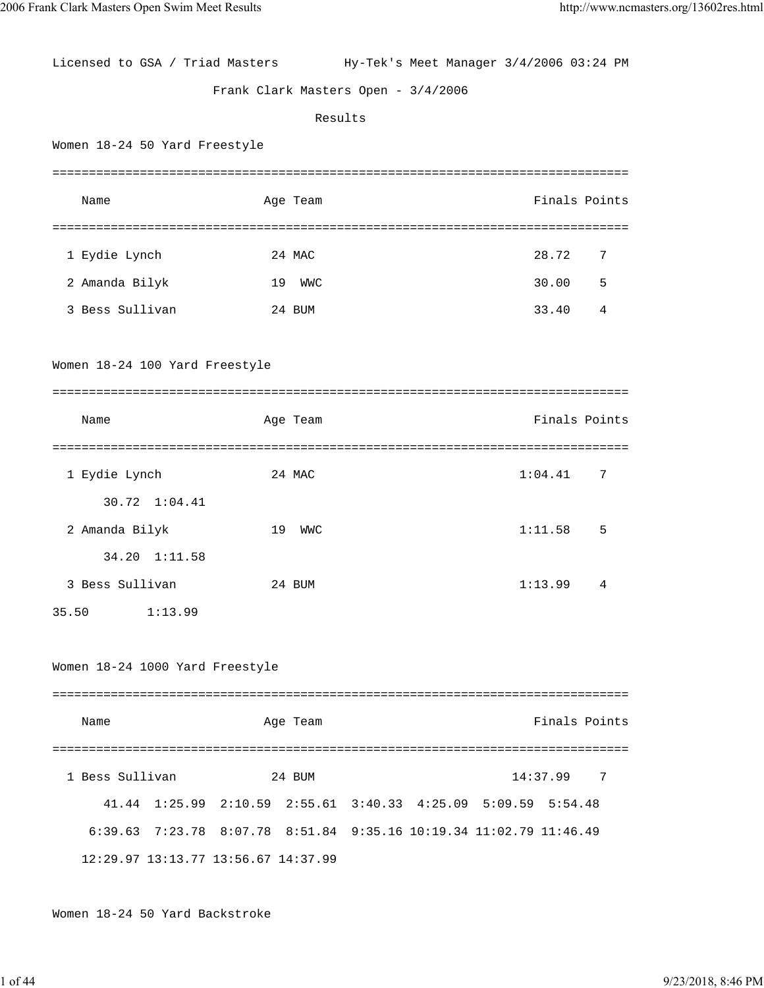Licensed to GSA / Triad Masters Hy-Tek's Meet Manager 3/4/2006 03:24 PM Frank Clark Masters Open - 3/4/2006 Results Women 18-24 50 Yard Freestyle =============================================================================== Name Age Team Age Team Finals Points =============================================================================== 1 Eydie Lynch 24 MAC 28.72 7 2 Amanda Bilyk 19 WWC 30.00 5 3 Bess Sullivan 24 BUM 33.40 4 Women 18-24 100 Yard Freestyle =============================================================================== Name Age Team Age Team Finals Points =============================================================================== 1 Eydie Lynch 24 MAC 1:04.41 7 30.72 1:04.41 2 Amanda Bilyk 19 WWC 1:11.58 5 34.20 1:11.58 3 Bess Sullivan 24 BUM 1:13.99 4 35.50 1:13.99 Women 18-24 1000 Yard Freestyle =============================================================================== Name Age Team Finals Points =============================================================================== 1 Bess Sullivan 24 BUM 14:37.99 7 41.44 1:25.99 2:10.59 2:55.61 3:40.33 4:25.09 5:09.59 5:54.48 6:39.63 7:23.78 8:07.78 8:51.84 9:35.16 10:19.34 11:02.79 11:46.49 12:29.97 13:13.77 13:56.67 14:37.99

Women 18-24 50 Yard Backstroke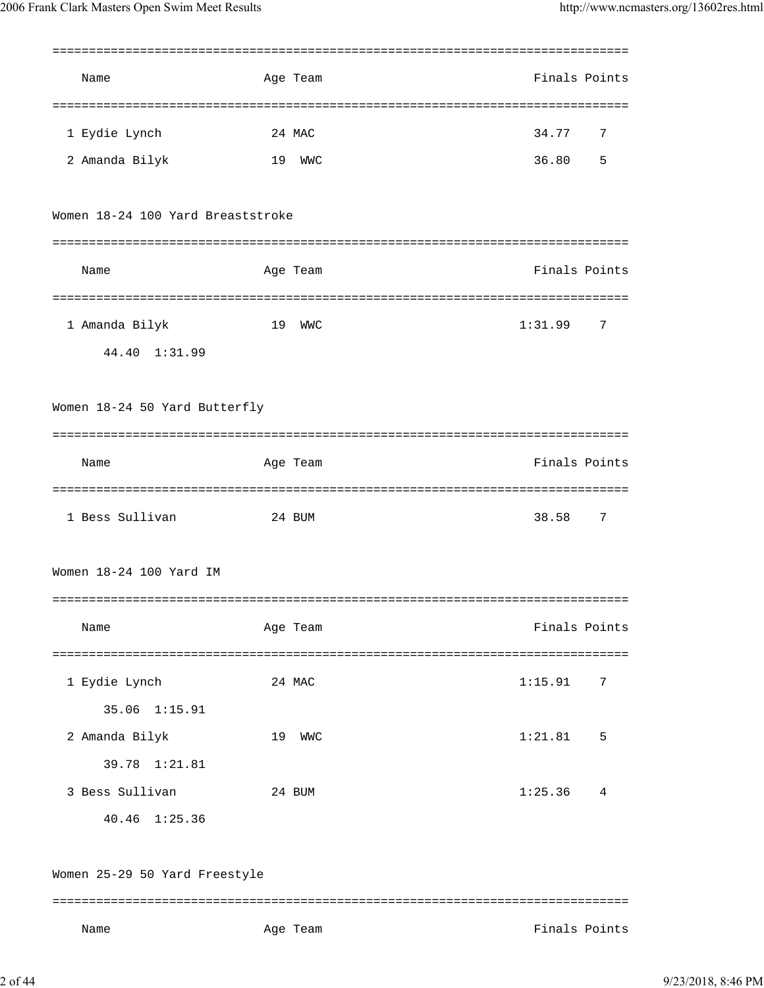| Name                                     | Age Team         | Finals Points                      |
|------------------------------------------|------------------|------------------------------------|
| 1 Eydie Lynch                            | 24 MAC           | 34.77<br>7                         |
| 2 Amanda Bilyk                           | 19<br>WMC        | 36.80<br>5                         |
| Women 18-24 100 Yard Breaststroke        |                  |                                    |
| Name                                     | Age Team         | Finals Points                      |
|                                          | ================ |                                    |
| 1 Amanda Bilyk                           | 19<br>WWC        | 1:31.99<br>7                       |
| 44.40 1:31.99                            |                  |                                    |
| Women 18-24 50 Yard Butterfly            |                  |                                    |
|                                          |                  |                                    |
| Name                                     | Age Team         | Finals Points                      |
| =====================<br>1 Bess Sullivan | 24 BUM           | ====================<br>38.58<br>7 |
| Women 18-24 100 Yard IM                  |                  |                                    |
| Name                                     | Age Team         | Finals Points                      |
|                                          |                  |                                    |
| 1 Eydie Lynch                            | 24 MAC           | 1:15.91<br>7                       |
| 35.06 1:15.91                            |                  |                                    |
| 2 Amanda Bilyk                           | 19<br><b>WMC</b> | 1:21.81<br>5                       |
| 39.78 1:21.81                            |                  |                                    |
| 3 Bess Sullivan                          | 24 BUM           | 1:25.36<br>4                       |
| 40.46 1:25.36                            |                  |                                    |
| Women 25-29 50 Yard Freestyle            |                  |                                    |
| Name                                     | Age Team         | Finals Points                      |

2 of 44 9/23/2018, 8:46 PM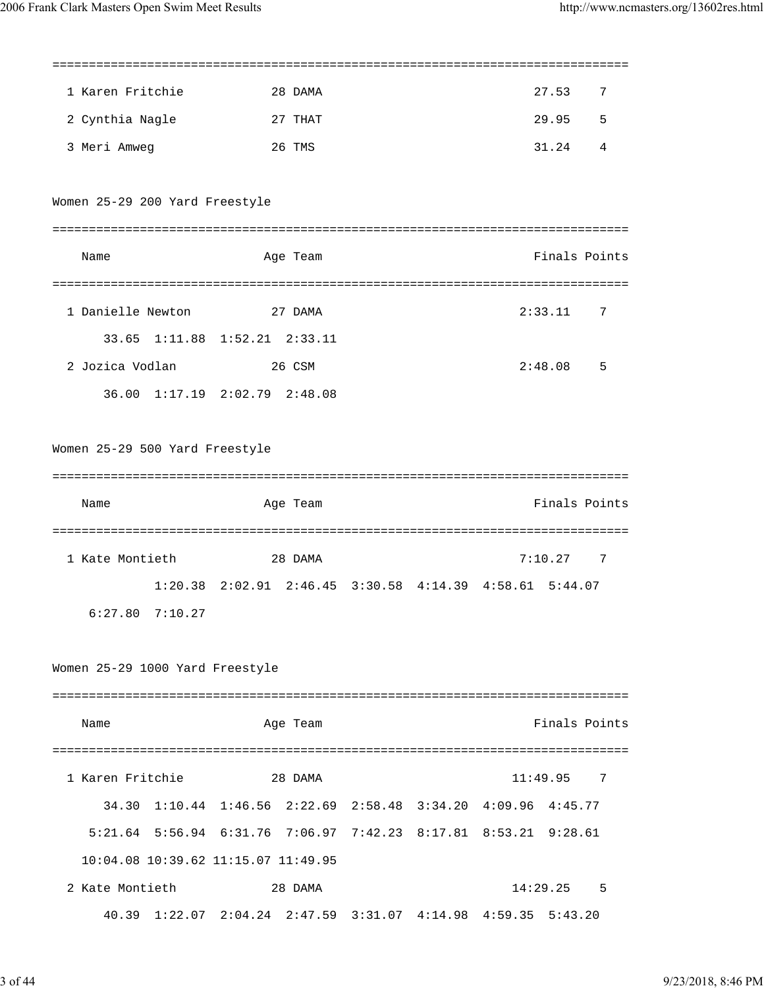| 1 Karen Fritchie                    | 28 DAMA                                                         |  | 27.53         | 7              |
|-------------------------------------|-----------------------------------------------------------------|--|---------------|----------------|
| 2 Cynthia Nagle                     | 27 THAT                                                         |  | 29.95         | 5              |
| 3 Meri Amweg                        | 26 TMS                                                          |  | 31.24         | 4              |
|                                     |                                                                 |  |               |                |
| Women 25-29 200 Yard Freestyle      |                                                                 |  |               |                |
|                                     |                                                                 |  |               |                |
| Name                                | Age Team                                                        |  | Finals Points |                |
|                                     |                                                                 |  |               |                |
| 1 Danielle Newton                   | 27 DAMA                                                         |  | 2:33.11       | 7              |
|                                     | 33.65 1:11.88 1:52.21 2:33.11                                   |  |               |                |
| 2 Jozica Vodlan                     | 26 CSM                                                          |  | 2:48.08       | 5              |
|                                     | 36.00 1:17.19 2:02.79 2:48.08                                   |  |               |                |
|                                     |                                                                 |  |               |                |
| Women 25-29 500 Yard Freestyle      |                                                                 |  |               |                |
|                                     |                                                                 |  |               |                |
| Name                                | Age Team                                                        |  | Finals Points |                |
|                                     |                                                                 |  |               |                |
| 1 Kate Montieth                     | 28 DAMA                                                         |  | 7:10.27       | 7              |
|                                     | 1:20.38 2:02.91 2:46.45 3:30.58 4:14.39 4:58.61 5:44.07         |  |               |                |
| 6:27.80<br>7:10.27                  |                                                                 |  |               |                |
|                                     |                                                                 |  |               |                |
| Women 25-29 1000 Yard Freestyle     |                                                                 |  |               |                |
|                                     |                                                                 |  |               |                |
| Name                                | Age Team                                                        |  | Finals Points |                |
|                                     |                                                                 |  |               |                |
| 1 Karen Fritchie                    | 28 DAMA                                                         |  | 11:49.95      | $\overline{7}$ |
|                                     | 34.30 1:10.44 1:46.56 2:22.69 2:58.48 3:34.20 4:09.96 4:45.77   |  |               |                |
|                                     | 5:21.64 5:56.94 6:31.76 7:06.97 7:42.23 8:17.81 8:53.21 9:28.61 |  |               |                |
| 10:04.08 10:39.62 11:15.07 11:49.95 |                                                                 |  |               |                |
| 2 Kate Montieth                     | 28 DAMA                                                         |  | 14:29.25      | $-5$           |
|                                     |                                                                 |  |               |                |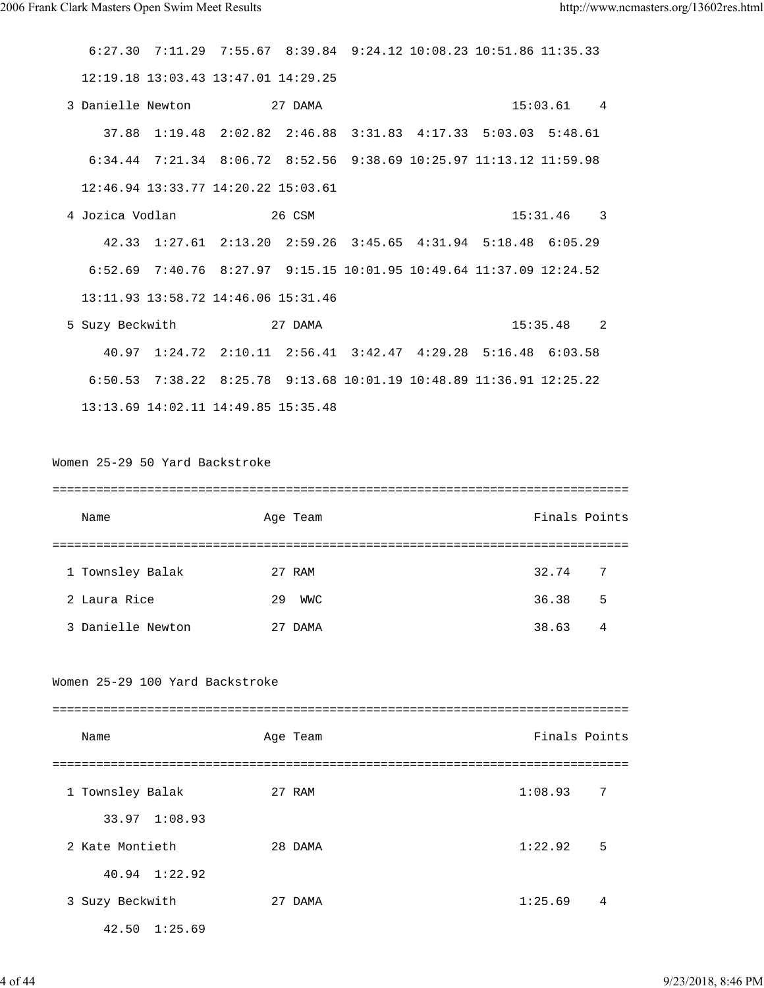6:27.30 7:11.29 7:55.67 8:39.84 9:24.12 10:08.23 10:51.86 11:35.33 12:19.18 13:03.43 13:47.01 14:29.25 3 Danielle Newton 27 DAMA 15:03.61 4 37.88 1:19.48 2:02.82 2:46.88 3:31.83 4:17.33 5:03.03 5:48.61 6:34.44 7:21.34 8:06.72 8:52.56 9:38.69 10:25.97 11:13.12 11:59.98 12:46.94 13:33.77 14:20.22 15:03.61 4 Jozica Vodlan 26 CSM 15:31.46 3 42.33 1:27.61 2:13.20 2:59.26 3:45.65 4:31.94 5:18.48 6:05.29 6:52.69 7:40.76 8:27.97 9:15.15 10:01.95 10:49.64 11:37.09 12:24.52 13:11.93 13:58.72 14:46.06 15:31.46 5 Suzy Beckwith 27 DAMA 15:35.48 2 40.97 1:24.72 2:10.11 2:56.41 3:42.47 4:29.28 5:16.48 6:03.58 6:50.53 7:38.22 8:25.78 9:13.68 10:01.19 10:48.89 11:36.91 12:25.22 13:13.69 14:02.11 14:49.85 15:35.48 Women 25-29 50 Yard Backstroke =============================================================================== Name **Age Team** Age Team **Finals Points** =============================================================================== 1 Townsley Balak 27 RAM 32.74 7 2 Laura Rice 29 WWC 36.38 5 3 Danielle Newton 27 DAMA 38.63 4

## Women 25-29 100 Yard Backstroke

| Name                  | Age Team | Finals Points             |
|-----------------------|----------|---------------------------|
|                       |          |                           |
| 1 Townsley Balak      | 27 RAM   | 1:08.93<br>-7             |
| 33.97 1:08.93         |          |                           |
| 2 Kate Montieth       | 28 DAMA  | 5<br>1:22.92              |
| $40.94$ $1:22.92$     |          |                           |
| 3 Suzy Beckwith       | 27 DAMA  | 1:25.69<br>$\overline{4}$ |
| $42.50 \quad 1:25.69$ |          |                           |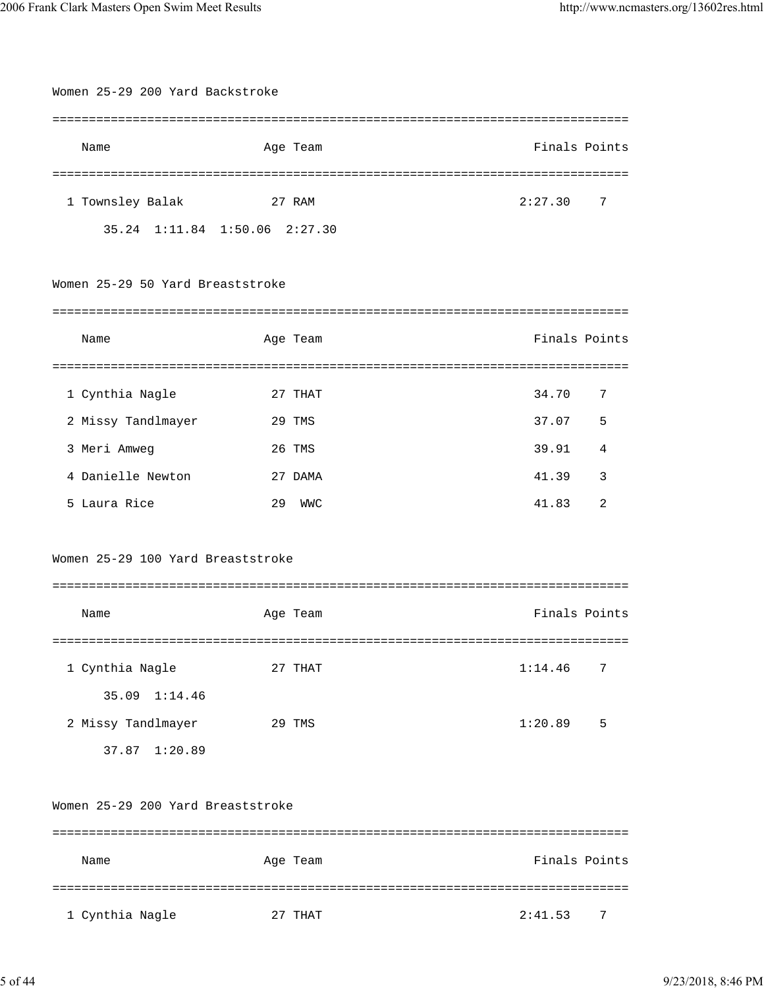| Women 25-29 200 Yard Backstroke   |                  |               |
|-----------------------------------|------------------|---------------|
| Name                              | Age Team         | Finals Points |
|                                   |                  |               |
| 1 Townsley Balak                  | 27 RAM           | 2:27.30<br>7  |
| 35.24 1:11.84 1:50.06 2:27.30     |                  |               |
|                                   |                  |               |
| Women 25-29 50 Yard Breaststroke  |                  |               |
|                                   |                  |               |
| Name                              | Age Team         | Finals Points |
|                                   |                  |               |
| 1 Cynthia Nagle                   | 27 THAT          | 34.70<br>7    |
| 2 Missy Tandlmayer                | 29 TMS           | 37.07<br>5    |
| 3 Meri Amweg                      | 26 TMS           | 39.91<br>4    |
| 4 Danielle Newton                 | 27 DAMA          | 41.39<br>3    |
| 5 Laura Rice                      | 29<br><b>WMC</b> | 41.83<br>2    |
|                                   |                  |               |
| Women 25-29 100 Yard Breaststroke |                  |               |
|                                   |                  |               |
| Name                              | Age Team         | Finals Points |
|                                   |                  |               |
| 1 Cynthia Nagle                   | 27 THAT          | 1:14.46<br>7  |
| 35.09 1:14.46                     |                  |               |
| 2 Missy Tandlmayer                | 29 TMS           | 5<br>1:20.89  |
| 37.87 1:20.89                     |                  |               |
|                                   |                  |               |
| Women 25-29 200 Yard Breaststroke |                  |               |
|                                   |                  |               |
| Name                              | Age Team         | Finals Points |
|                                   |                  |               |
| 1 Cynthia Nagle                   | 27 THAT          | 2:41.53<br>7  |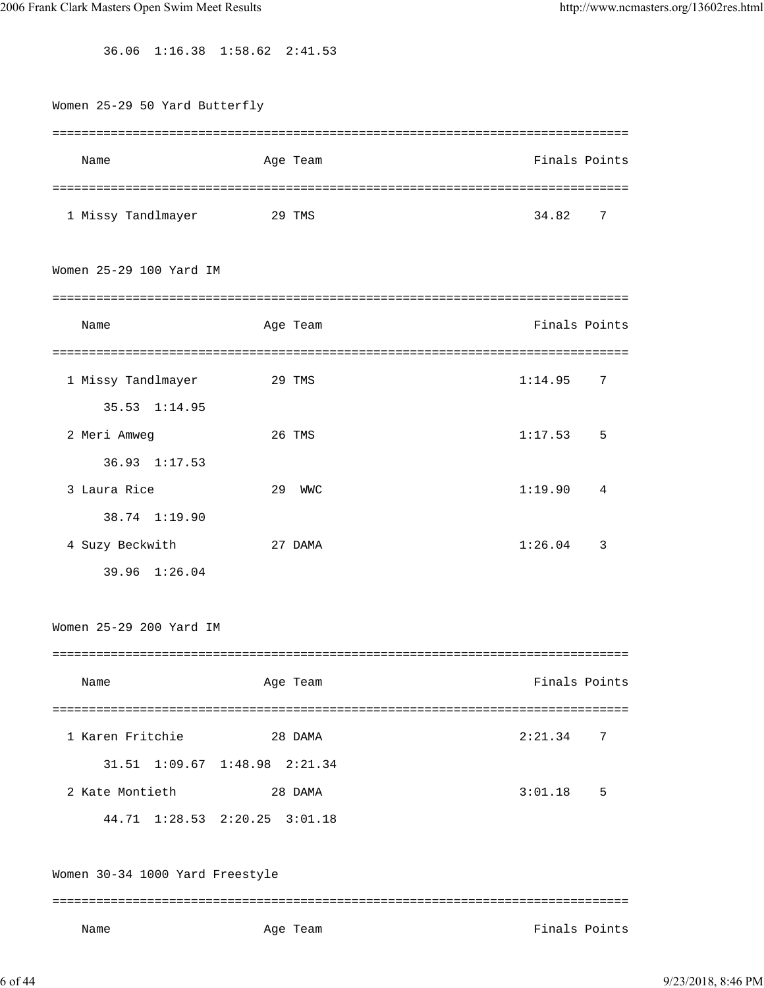36.06 1:16.38 1:58.62 2:41.53

| Women 25-29 50 Yard Butterfly   |                               |                                     |
|---------------------------------|-------------------------------|-------------------------------------|
|                                 |                               |                                     |
| Name                            | Age Team                      | Finals Points                       |
|                                 |                               |                                     |
| 1 Missy Tandlmayer              | 29 TMS                        | 34.82<br>7                          |
| Women 25-29 100 Yard IM         |                               |                                     |
|                                 |                               |                                     |
| Name                            | Age Team                      | Finals Points                       |
|                                 |                               |                                     |
| 1 Missy Tandlmayer              | 29 TMS                        | 1:14.95<br>7                        |
| $35.53$ $1:14.95$               |                               |                                     |
| 2 Meri Amweg                    | 26 TMS                        | 1:17.53<br>5                        |
| 36.93 1:17.53                   |                               |                                     |
| 3 Laura Rice                    | 29<br><b>WMC</b>              | 1:19.90<br>4                        |
| 38.74 1:19.90                   |                               |                                     |
| 4 Suzy Beckwith                 | 27 DAMA                       | 1:26.04<br>$\overline{\phantom{a}}$ |
| 39.96 1:26.04                   |                               |                                     |
| Women 25-29 200 Yard IM         |                               |                                     |
| ============                    |                               |                                     |
| Name                            | Age Team                      | Finals Points                       |
|                                 |                               |                                     |
| 1 Karen Fritchie                | 28 DAMA                       | 2:21.34<br>7                        |
|                                 | 31.51 1:09.67 1:48.98 2:21.34 |                                     |
| 2 Kate Montieth                 | 28 DAMA                       | 3:01.18<br>5                        |
|                                 | 44.71 1:28.53 2:20.25 3:01.18 |                                     |
| Women 30-34 1000 Yard Freestyle |                               |                                     |
| Name                            | Age Team                      | Finals Points                       |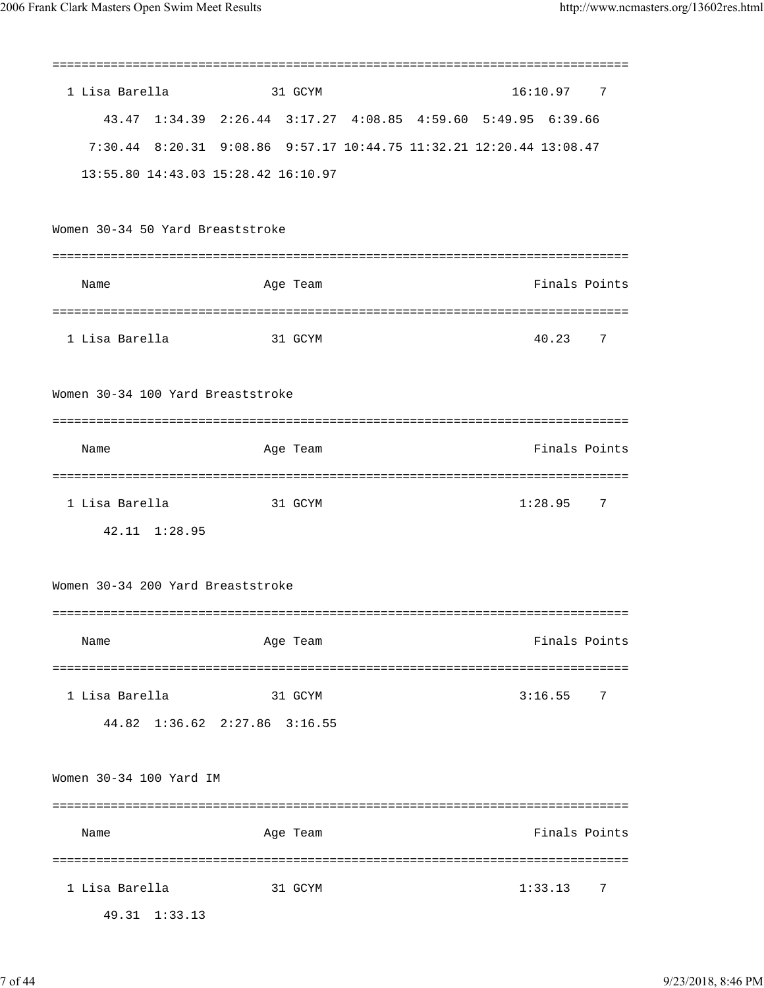|                                   |                                     | =============                                                       |
|-----------------------------------|-------------------------------------|---------------------------------------------------------------------|
| 1 Lisa Barella                    | 31 GCYM                             | 16:10.97<br>$\overline{7}$                                          |
|                                   |                                     | 43.47 1:34.39 2:26.44 3:17.27 4:08.85 4:59.60 5:49.95 6:39.66       |
|                                   |                                     | 7:30.44 8:20.31 9:08.86 9:57.17 10:44.75 11:32.21 12:20.44 13:08.47 |
|                                   | 13:55.80 14:43.03 15:28.42 16:10.97 |                                                                     |
|                                   |                                     |                                                                     |
| Women 30-34 50 Yard Breaststroke  |                                     |                                                                     |
|                                   |                                     | ============                                                        |
| Name                              | Age Team                            | Finals Points                                                       |
|                                   |                                     |                                                                     |
| 1 Lisa Barella                    | 31 GCYM                             | 7<br>40.23                                                          |
|                                   |                                     |                                                                     |
| Women 30-34 100 Yard Breaststroke |                                     |                                                                     |
|                                   |                                     |                                                                     |
| Name                              | Age Team                            | Finals Points                                                       |
|                                   |                                     |                                                                     |
| 1 Lisa Barella                    | 31 GCYM                             | 1:28.95<br>7                                                        |
| 42.11 1:28.95                     |                                     |                                                                     |
|                                   |                                     |                                                                     |
| Women 30-34 200 Yard Breaststroke |                                     |                                                                     |
|                                   |                                     |                                                                     |
| Name                              | Age Team                            | Finals Points                                                       |
|                                   |                                     |                                                                     |
| 1 Lisa Barella                    | 31 GCYM                             | 3:16.55<br>7                                                        |
|                                   | 44.82 1:36.62 2:27.86 3:16.55       |                                                                     |
|                                   |                                     |                                                                     |
| Women 30-34 100 Yard IM           |                                     |                                                                     |
|                                   |                                     |                                                                     |
| Name                              | Age Team                            | Finals Points                                                       |
|                                   |                                     |                                                                     |
| 1 Lisa Barella                    | 31 GCYM                             | 1:33.13<br>7                                                        |
| 49.31 1:33.13                     |                                     |                                                                     |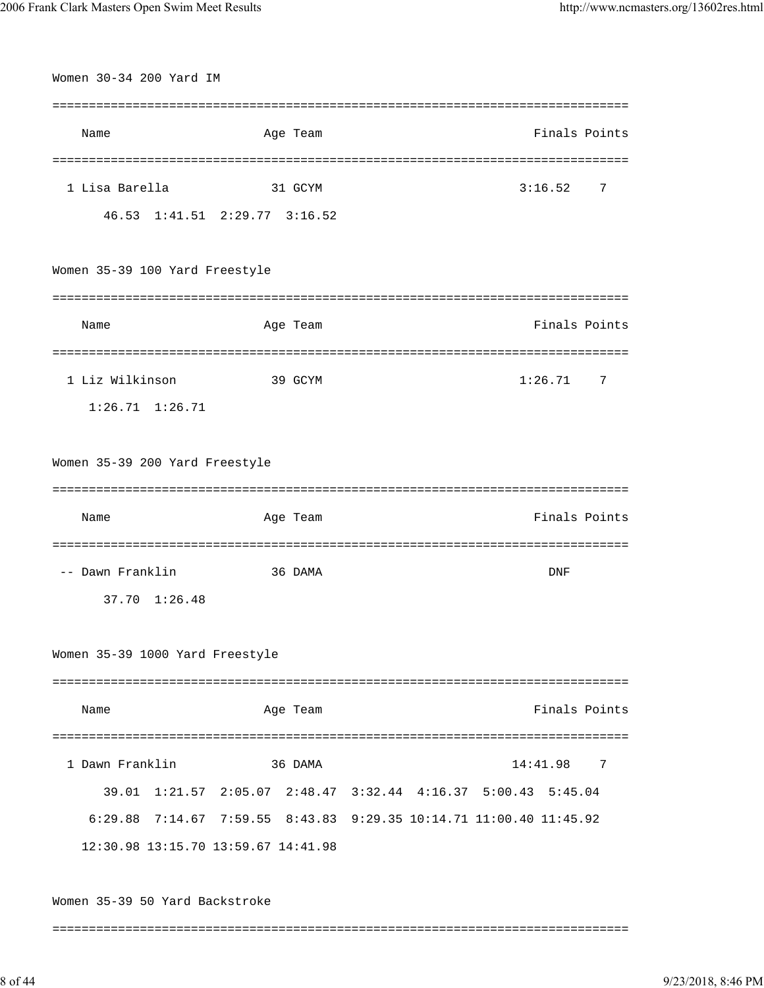| Women 30-34 200 Yard IM         |                                     |                                                                    |
|---------------------------------|-------------------------------------|--------------------------------------------------------------------|
|                                 |                                     |                                                                    |
| Name                            | Age Team                            | Finals Points                                                      |
|                                 | ======================              | ===================================                                |
| 1 Lisa Barella                  | 31 GCYM                             | 3:16.52<br>7                                                       |
|                                 | 46.53 1:41.51 2:29.77 3:16.52       |                                                                    |
|                                 |                                     |                                                                    |
| Women 35-39 100 Yard Freestyle  |                                     |                                                                    |
|                                 |                                     |                                                                    |
| Name                            | Age Team                            | Finals Points                                                      |
|                                 | ===============================     | ==================================                                 |
| 1 Liz Wilkinson                 | 39 GCYM                             | 1:26.71<br>7                                                       |
| $1:26.71$ $1:26.71$             |                                     |                                                                    |
|                                 |                                     |                                                                    |
| Women 35-39 200 Yard Freestyle  |                                     |                                                                    |
|                                 |                                     |                                                                    |
| Name                            | Age Team                            | Finals Points                                                      |
|                                 |                                     |                                                                    |
| -- Dawn Franklin                | 36 DAMA                             | DNF                                                                |
| 37.70 1:26.48                   |                                     |                                                                    |
|                                 |                                     |                                                                    |
| Women 35-39 1000 Yard Freestyle |                                     |                                                                    |
|                                 |                                     |                                                                    |
| Name                            | Age Team                            | Finals Points                                                      |
|                                 |                                     |                                                                    |
| 1 Dawn Franklin                 | 36 DAMA                             | 14:41.98<br>7                                                      |
|                                 |                                     | 39.01 1:21.57 2:05.07 2:48.47 3:32.44 4:16.37 5:00.43<br>5:45.04   |
|                                 |                                     | 6:29.88 7:14.67 7:59.55 8:43.83 9:29.35 10:14.71 11:00.40 11:45.92 |
|                                 | 12:30.98 13:15.70 13:59.67 14:41.98 |                                                                    |
|                                 |                                     |                                                                    |
| Women 35-39 50 Yard Backstroke  |                                     |                                                                    |
|                                 |                                     |                                                                    |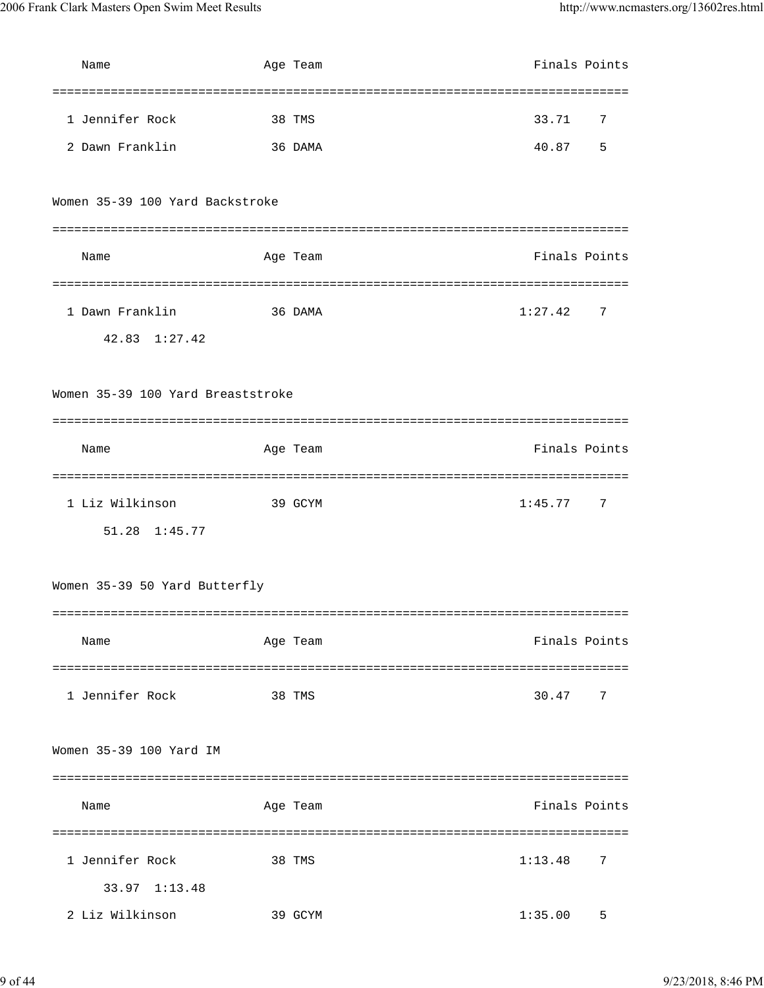| Name                              | Age Team | Finals Points            |
|-----------------------------------|----------|--------------------------|
|                                   |          |                          |
| 1 Jennifer Rock                   | 38 TMS   | 33.71<br>7               |
| 2 Dawn Franklin                   | 36 DAMA  | 5<br>40.87               |
|                                   |          |                          |
| Women 35-39 100 Yard Backstroke   |          |                          |
|                                   |          |                          |
| Name                              | Age Team | Finals Points            |
|                                   |          |                          |
| 1 Dawn Franklin                   | 36 DAMA  | 1:27.42<br>7             |
| $42.83 \quad 1:27.42$             |          |                          |
|                                   |          |                          |
| Women 35-39 100 Yard Breaststroke |          |                          |
|                                   |          |                          |
| Name                              | Age Team | Finals Points            |
|                                   |          |                          |
| 1 Liz Wilkinson                   | 39 GCYM  | 1:45.77<br>7             |
| 51.28 1:45.77                     |          |                          |
|                                   |          |                          |
| Women 35-39 50 Yard Butterfly     |          |                          |
|                                   |          |                          |
| Name                              | Age Team | Finals Points            |
|                                   |          |                          |
| 1 Jennifer Rock                   | 38 TMS   | 30.47<br>$7\phantom{.0}$ |
|                                   |          |                          |
| Women 35-39 100 Yard IM           |          |                          |
|                                   |          |                          |
| Name                              | Age Team | Finals Points            |
|                                   |          |                          |
| 1 Jennifer Rock                   | 38 TMS   | 7<br>1:13.48             |
| 33.97 1:13.48                     |          |                          |
| 2 Liz Wilkinson                   | 39 GCYM  | 1:35.00<br>5             |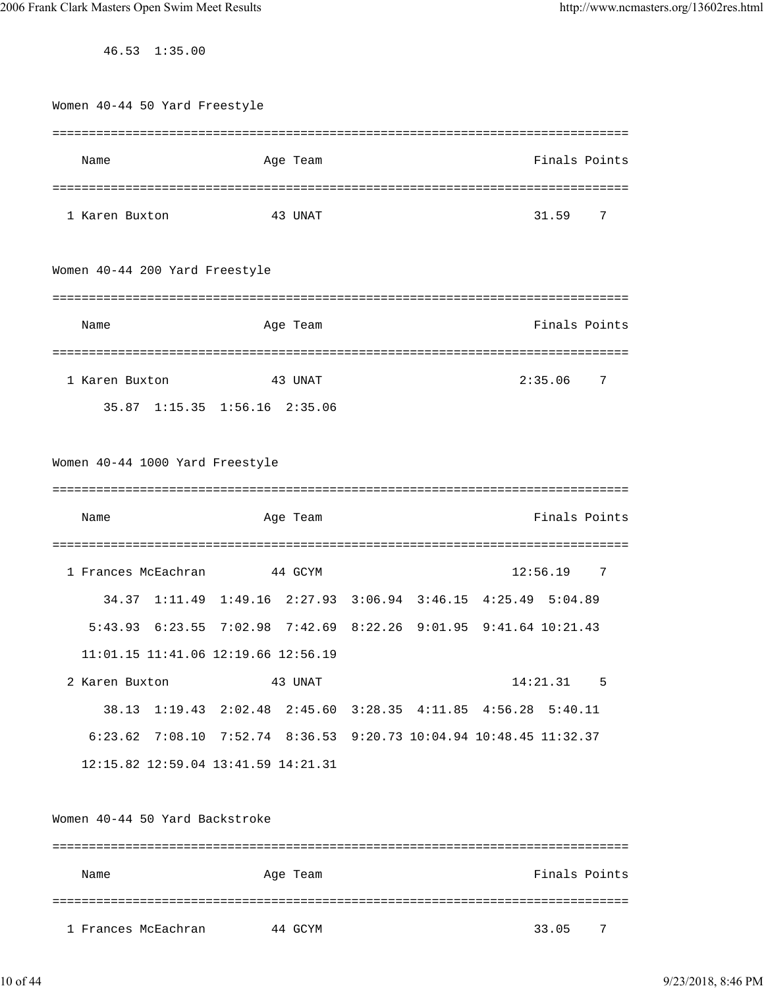46.53 1:35.00

| Women 40-44 50 Yard Freestyle       |                                                                    |                                    |               |
|-------------------------------------|--------------------------------------------------------------------|------------------------------------|---------------|
|                                     |                                                                    |                                    |               |
| Name                                | Age Team                                                           |                                    | Finals Points |
|                                     |                                                                    |                                    |               |
| 1 Karen Buxton                      | 43 UNAT                                                            |                                    | 31.59<br>7    |
| Women 40-44 200 Yard Freestyle      |                                                                    |                                    |               |
| Name                                | Age Team                                                           |                                    | Finals Points |
| 1 Karen Buxton                      | ==========================<br>43 UNAT                              | ================================== | 2:35.06<br>7  |
|                                     | 35.87 1:15.35 1:56.16 2:35.06                                      |                                    |               |
|                                     |                                                                    |                                    |               |
| Women 40-44 1000 Yard Freestyle     |                                                                    |                                    |               |
|                                     |                                                                    |                                    |               |
| Name                                | Age Team                                                           |                                    | Finals Points |
|                                     |                                                                    |                                    |               |
| 1 Frances McEachran                 | 44 GCYM                                                            |                                    | 12:56.19<br>7 |
|                                     | 34.37 1:11.49 1:49.16 2:27.93 3:06.94 3:46.15 4:25.49 5:04.89      |                                    |               |
|                                     | 5:43.93 6:23.55 7:02.98 7:42.69 8:22.26 9:01.95 9:41.64 10:21.43   |                                    |               |
| 11:01.15 11:41.06 12:19.66 12:56.19 |                                                                    |                                    |               |
| 2 Karen Buxton                      | 43 UNAT                                                            |                                    | 14:21.31 5    |
|                                     | 38.13 1:19.43 2:02.48 2:45.60 3:28.35 4:11.85 4:56.28 5:40.11      |                                    |               |
|                                     | 6:23.62 7:08.10 7:52.74 8:36.53 9:20.73 10:04.94 10:48.45 11:32.37 |                                    |               |
|                                     | 12:15.82 12:59.04 13:41.59 14:21.31                                |                                    |               |
|                                     |                                                                    |                                    |               |
| Women 40-44 50 Yard Backstroke      |                                                                    |                                    |               |
| Name                                | Age Team                                                           |                                    | Finals Points |
| 1 Frances McEachran                 | 44 GCYM                                                            |                                    | 33.05<br>7    |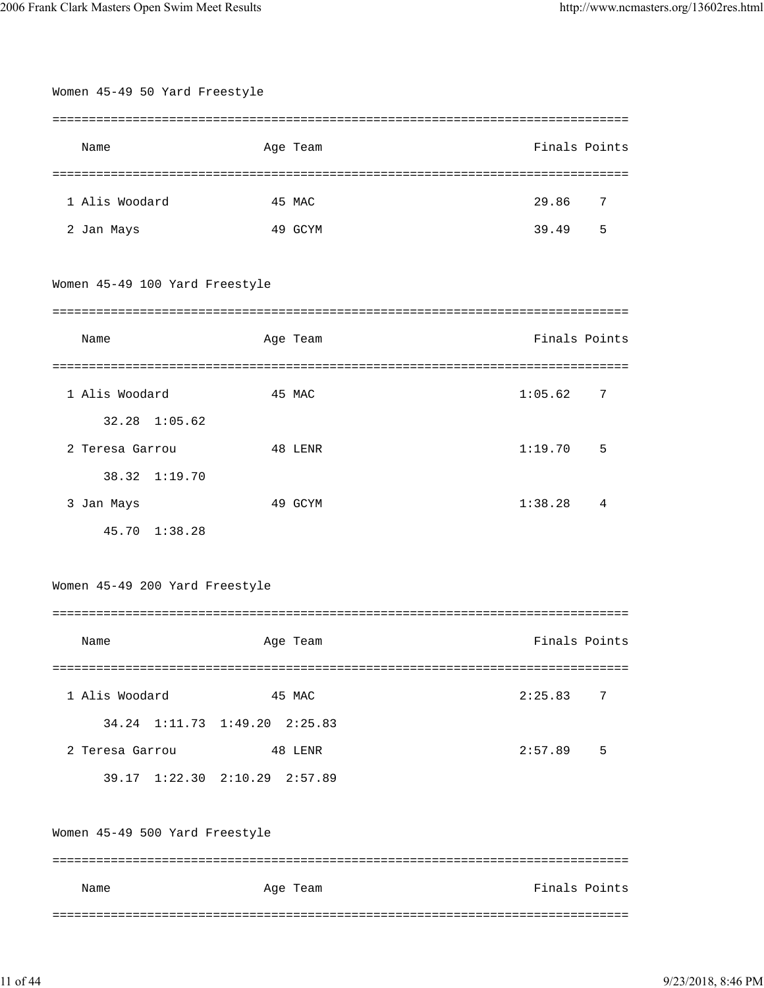| Women 45-49 50 Yard Freestyle  |                               |                |
|--------------------------------|-------------------------------|----------------|
|                                |                               |                |
| Name                           | Age Team                      | Finals Points  |
|                                |                               |                |
| 1 Alis Woodard                 | 45 MAC                        | 29.86<br>7     |
| 2 Jan Mays                     | 49 GCYM                       | 39.49<br>5     |
|                                |                               |                |
| Women 45-49 100 Yard Freestyle |                               |                |
|                                |                               |                |
| Name                           | Age Team                      | Finals Points  |
|                                |                               |                |
| 1 Alis Woodard                 | 45 MAC                        | 1:05.62<br>7   |
| 32.28 1:05.62                  |                               |                |
| 2 Teresa Garrou                | 48 LENR                       | 1:19.70<br>5   |
| 38.32 1:19.70                  |                               |                |
| 3 Jan Mays                     | 49 GCYM                       | 1:38.28<br>4   |
| 45.70 1:38.28                  |                               |                |
|                                |                               |                |
| Women 45-49 200 Yard Freestyle |                               |                |
|                                |                               |                |
| Name                           | Age Team                      | Finals Points  |
|                                |                               |                |
| 1 Alis Woodard                 | 45 MAC                        | 2:25.83<br>- 7 |
|                                | 34.24 1:11.73 1:49.20 2:25.83 |                |
| 2 Teresa Garrou                | 48 LENR                       | 2:57.89<br>- 5 |
|                                | 39.17 1:22.30 2:10.29 2:57.89 |                |
|                                |                               |                |
| Women 45-49 500 Yard Freestyle |                               |                |
|                                |                               |                |
| Name                           | Age Team                      | Finals Points  |
|                                |                               |                |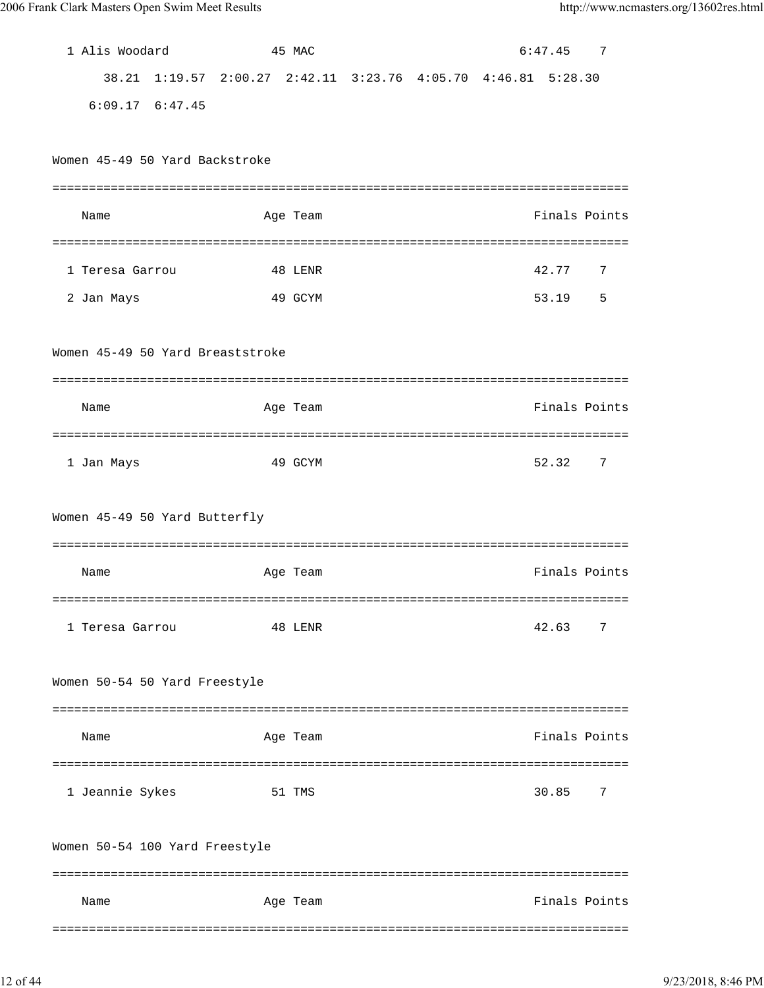| 1 Alis Woodard                   |                    | 45 MAC   |  |                                                       | 6:47.45       | -7         |
|----------------------------------|--------------------|----------|--|-------------------------------------------------------|---------------|------------|
|                                  |                    |          |  | 38.21 1:19.57 2:00.27 2:42.11 3:23.76 4:05.70 4:46.81 | 5:28.30       |            |
| $6:09.17$ $6:47.45$              |                    |          |  |                                                       |               |            |
|                                  |                    |          |  |                                                       |               |            |
| Women 45-49 50 Yard Backstroke   |                    |          |  |                                                       |               |            |
|                                  |                    |          |  |                                                       |               |            |
| Name                             |                    | Age Team |  |                                                       | Finals Points |            |
|                                  |                    |          |  |                                                       |               |            |
| 1 Teresa Garrou                  |                    | 48 LENR  |  |                                                       | 42.77         | 7          |
| 2 Jan Mays                       |                    | 49 GCYM  |  |                                                       | 53.19         | 5          |
|                                  |                    |          |  |                                                       |               |            |
| Women 45-49 50 Yard Breaststroke |                    |          |  |                                                       |               |            |
|                                  |                    |          |  |                                                       |               |            |
| Name                             |                    | Age Team |  |                                                       | Finals Points |            |
|                                  |                    |          |  |                                                       |               |            |
| 1 Jan Mays                       |                    | 49 GCYM  |  |                                                       | 52.32         | 7          |
|                                  |                    |          |  |                                                       |               |            |
| Women 45-49 50 Yard Butterfly    |                    |          |  |                                                       |               |            |
|                                  |                    |          |  |                                                       |               |            |
| Name                             |                    | Age Team |  |                                                       | Finals Points |            |
|                                  | ================== |          |  |                                                       |               | ========== |
| 1 Teresa Garrou                  |                    | 48 LENR  |  |                                                       | 42.63         | 7          |
|                                  |                    |          |  |                                                       |               |            |
| Women 50-54 50 Yard Freestyle    |                    |          |  |                                                       |               |            |
|                                  |                    |          |  |                                                       |               |            |
| Name                             |                    | Age Team |  |                                                       | Finals Points |            |
| ==============================   |                    |          |  |                                                       |               |            |
| 1 Jeannie Sykes                  |                    | 51 TMS   |  |                                                       | 30.85         | 7          |
|                                  |                    |          |  |                                                       |               |            |
| Women 50-54 100 Yard Freestyle   |                    |          |  |                                                       |               |            |
|                                  |                    |          |  |                                                       |               |            |
| Name                             |                    | Age Team |  |                                                       | Finals Points |            |
|                                  |                    |          |  |                                                       |               |            |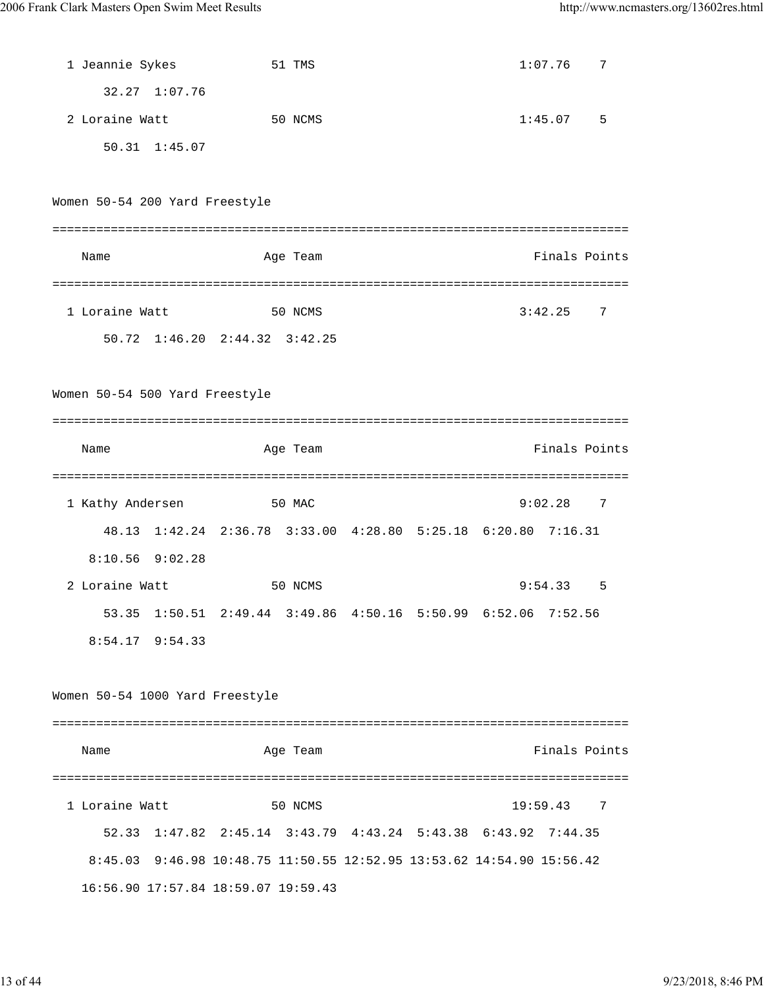| 1 Jeannie Sykes                 |                                                                       | 51 TMS   |  | 1:07.76  |         | 7              |
|---------------------------------|-----------------------------------------------------------------------|----------|--|----------|---------|----------------|
| 32.27 1:07.76                   |                                                                       |          |  |          |         |                |
| 2 Loraine Watt                  |                                                                       | 50 NCMS  |  |          | 1:45.07 | 5              |
| 50.31 1:45.07                   |                                                                       |          |  |          |         |                |
|                                 |                                                                       |          |  |          |         |                |
| Women 50-54 200 Yard Freestyle  |                                                                       |          |  |          |         |                |
| Name                            |                                                                       | Age Team |  |          |         | Finals Points  |
| 1 Loraine Watt                  |                                                                       | 50 NCMS  |  | 3:42.25  |         | 7              |
|                                 | 50.72 1:46.20 2:44.32 3:42.25                                         |          |  |          |         |                |
| Women 50-54 500 Yard Freestyle  |                                                                       |          |  |          |         |                |
|                                 |                                                                       |          |  |          |         |                |
| Name                            |                                                                       | Age Team |  |          |         | Finals Points  |
|                                 |                                                                       |          |  |          |         |                |
| 1 Kathy Andersen                |                                                                       | 50 MAC   |  |          | 9:02.28 | $\overline{7}$ |
|                                 | 48.13 1:42.24 2:36.78 3:33.00 4:28.80 5:25.18 6:20.80 7:16.31         |          |  |          |         |                |
| $8:10.56$ $9:02.28$             |                                                                       |          |  |          |         |                |
| 2 Loraine Watt                  |                                                                       | 50 NCMS  |  | 9:54.33  |         | 5              |
| 53.35                           | $1:50.51$ $2:49.44$ $3:49.86$ $4:50.16$ $5:50.99$ $6:52.06$           |          |  |          | 7:52.56 |                |
| $8:54.17$ $9:54.33$             |                                                                       |          |  |          |         |                |
| Women 50-54 1000 Yard Freestyle |                                                                       |          |  |          |         |                |
|                                 |                                                                       |          |  |          |         |                |
| Name                            |                                                                       | Age Team |  |          |         | Finals Points  |
|                                 |                                                                       |          |  |          |         |                |
| 1 Loraine Watt                  |                                                                       | 50 NCMS  |  | 19:59.43 |         | 7              |
|                                 | 52.33 1:47.82 2:45.14 3:43.79 4:43.24 5:43.38 6:43.92 7:44.35         |          |  |          |         |                |
|                                 |                                                                       |          |  |          |         |                |
|                                 | 8:45.03 9:46.98 10:48.75 11:50.55 12:52.95 13:53.62 14:54.90 15:56.42 |          |  |          |         |                |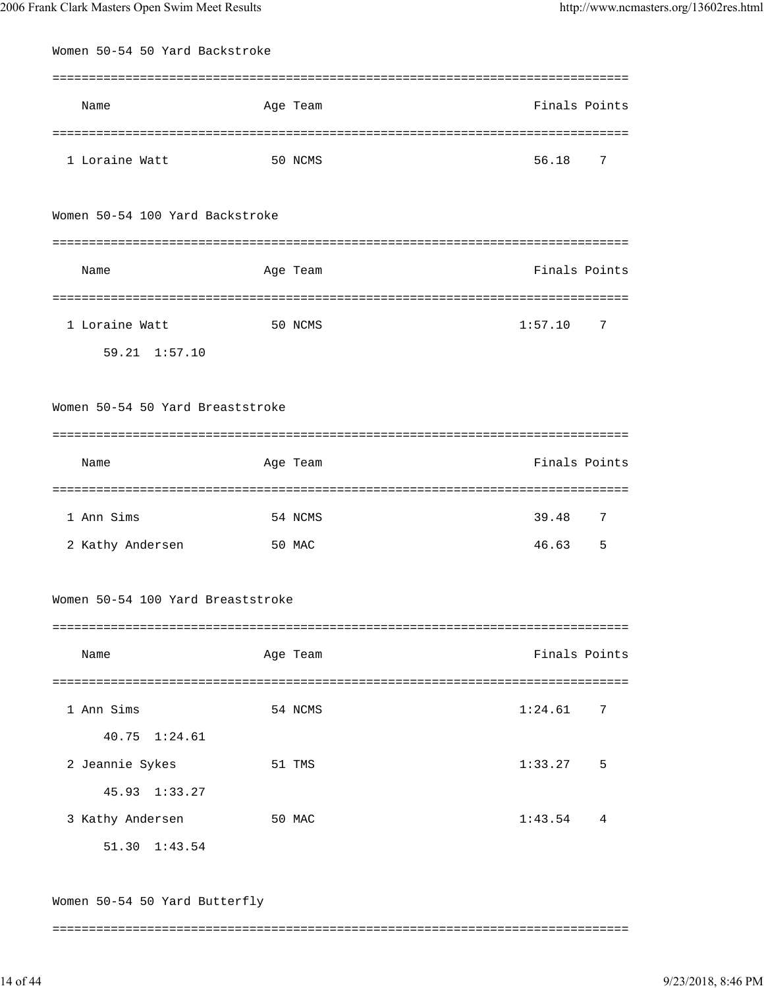| Women 50-54 50 Yard Backstroke    |          |               |  |
|-----------------------------------|----------|---------------|--|
|                                   |          |               |  |
| Name                              | Age Team | Finals Points |  |
|                                   |          |               |  |
| 1 Loraine Watt                    | 50 NCMS  | 56.18<br>7    |  |
| Women 50-54 100 Yard Backstroke   |          |               |  |
|                                   |          |               |  |
| Name                              | Age Team | Finals Points |  |
|                                   |          |               |  |
| 1 Loraine Watt                    | 50 NCMS  | 1:57.10<br>7  |  |
| 59.21 1:57.10                     |          |               |  |
|                                   |          |               |  |
| Women 50-54 50 Yard Breaststroke  |          |               |  |
| Name                              | Age Team | Finals Points |  |
| 1 Ann Sims                        | 54 NCMS  | 39.48<br>7    |  |
| 2 Kathy Andersen                  | 50 MAC   | 46.63<br>5    |  |
| Women 50-54 100 Yard Breaststroke |          |               |  |
| Name                              | Age Team | Finals Points |  |
| 1 Ann Sims                        | 54 NCMS  | 1:24.61<br>7  |  |
| 40.75 1:24.61                     |          |               |  |
| 2 Jeannie Sykes                   | 51 TMS   | 1:33.27<br>5  |  |
| 45.93 1:33.27                     |          |               |  |
| 3 Kathy Andersen                  | 50 MAC   | 1:43.54<br>4  |  |
| 51.30 1:43.54                     |          |               |  |
| Women 50-54 50 Yard Butterfly     |          |               |  |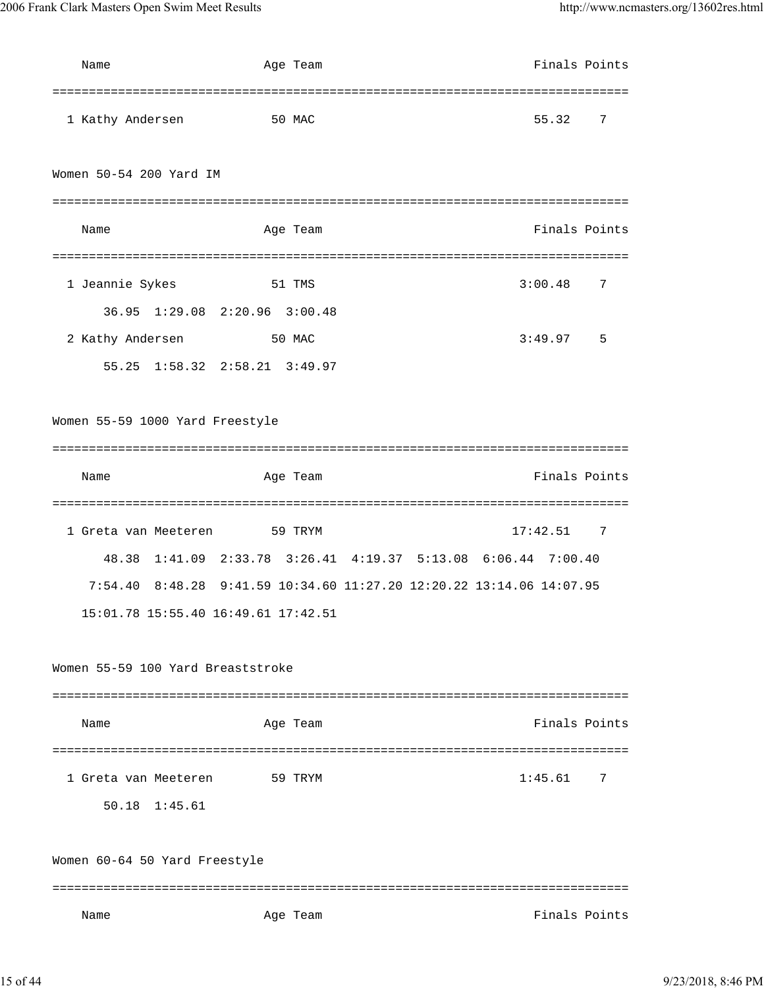| Name                                | Age Team | Finals Points                                                        |
|-------------------------------------|----------|----------------------------------------------------------------------|
|                                     |          |                                                                      |
| 1 Kathy Andersen                    | 50 MAC   | 55.32<br>7                                                           |
|                                     |          |                                                                      |
| Women 50-54 200 Yard IM             |          |                                                                      |
|                                     |          |                                                                      |
| Name                                | Age Team | Finals Points                                                        |
|                                     |          |                                                                      |
| 1 Jeannie Sykes                     | 51 TMS   | 7<br>3:00.48                                                         |
| 36.95 1:29.08 2:20.96 3:00.48       |          |                                                                      |
| 2 Kathy Andersen                    | 50 MAC   | 3:49.97<br>5                                                         |
| 55.25 1:58.32 2:58.21 3:49.97       |          |                                                                      |
|                                     |          |                                                                      |
| Women 55-59 1000 Yard Freestyle     |          |                                                                      |
|                                     |          |                                                                      |
| Name                                | Age Team | Finals Points                                                        |
|                                     |          |                                                                      |
|                                     |          |                                                                      |
| 1 Greta van Meeteren 59 TRYM        |          | 17:42.51 7                                                           |
|                                     |          | 48.38 1:41.09 2:33.78 3:26.41 4:19.37 5:13.08 6:06.44 7:00.40        |
|                                     |          | 7:54.40 8:48.28 9:41.59 10:34.60 11:27.20 12:20.22 13:14.06 14:07.95 |
| 15:01.78 15:55.40 16:49.61 17:42.51 |          |                                                                      |
|                                     |          |                                                                      |
| Women 55-59 100 Yard Breaststroke   |          |                                                                      |
|                                     |          |                                                                      |
| Name                                | Age Team | Finals Points                                                        |
|                                     |          |                                                                      |
| 1 Greta van Meeteren                | 59 TRYM  | 1:45.61<br>7                                                         |
| 50.18 1:45.61                       |          |                                                                      |
|                                     |          |                                                                      |
| Women 60-64 50 Yard Freestyle       |          |                                                                      |
|                                     |          |                                                                      |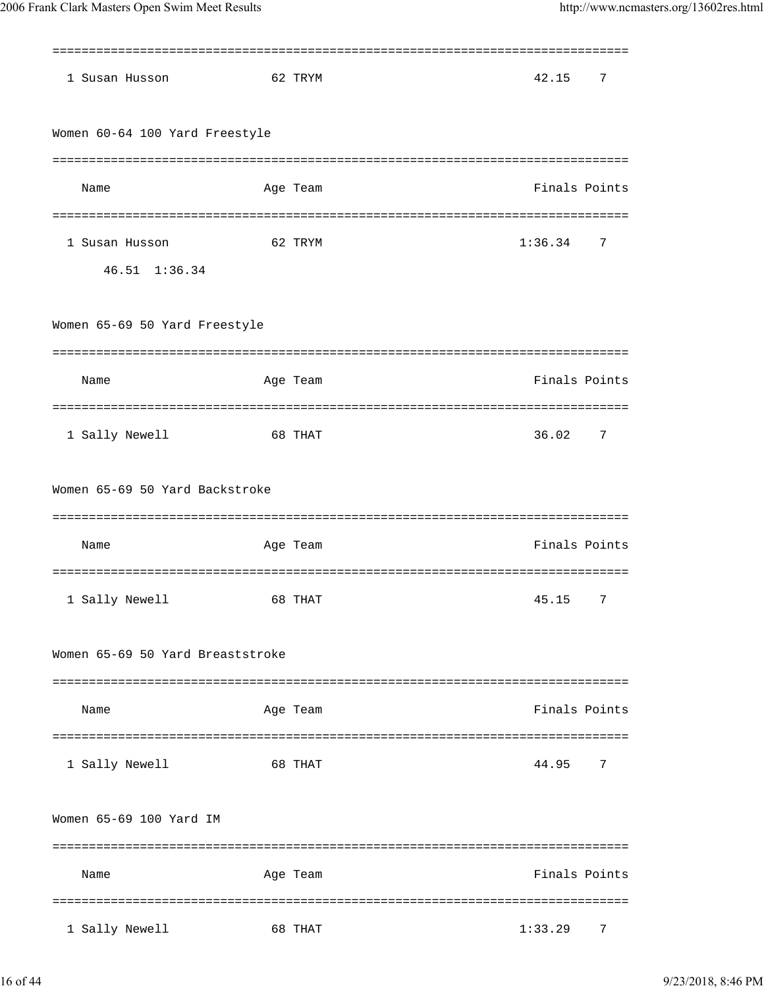| 1 Susan Husson                   | 62 TRYM  | 42.15<br>7    |
|----------------------------------|----------|---------------|
| Women 60-64 100 Yard Freestyle   |          |               |
|                                  |          |               |
| Name                             | Age Team | Finals Points |
| 1 Susan Husson                   | 62 TRYM  | 1:36.34<br>7  |
| 46.51 1:36.34                    |          |               |
| Women 65-69 50 Yard Freestyle    |          |               |
| Name                             | Age Team | Finals Points |
| 1 Sally Newell                   | 68 THAT  | 36.02<br>7    |
| Women 65-69 50 Yard Backstroke   |          |               |
| Name                             | Age Team | Finals Points |
| 1 Sally Newell                   | 68 THAT  | 45.15<br>7    |
| Women 65-69 50 Yard Breaststroke |          |               |
| Name                             | Age Team | Finals Points |
| 1 Sally Newell                   | 68 THAT  | 44.95<br>7    |
| Women 65-69 100 Yard IM          |          |               |
|                                  |          |               |
| Name                             | Age Team | Finals Points |
| 1 Sally Newell                   | 68 THAT  | 1:33.29<br>7  |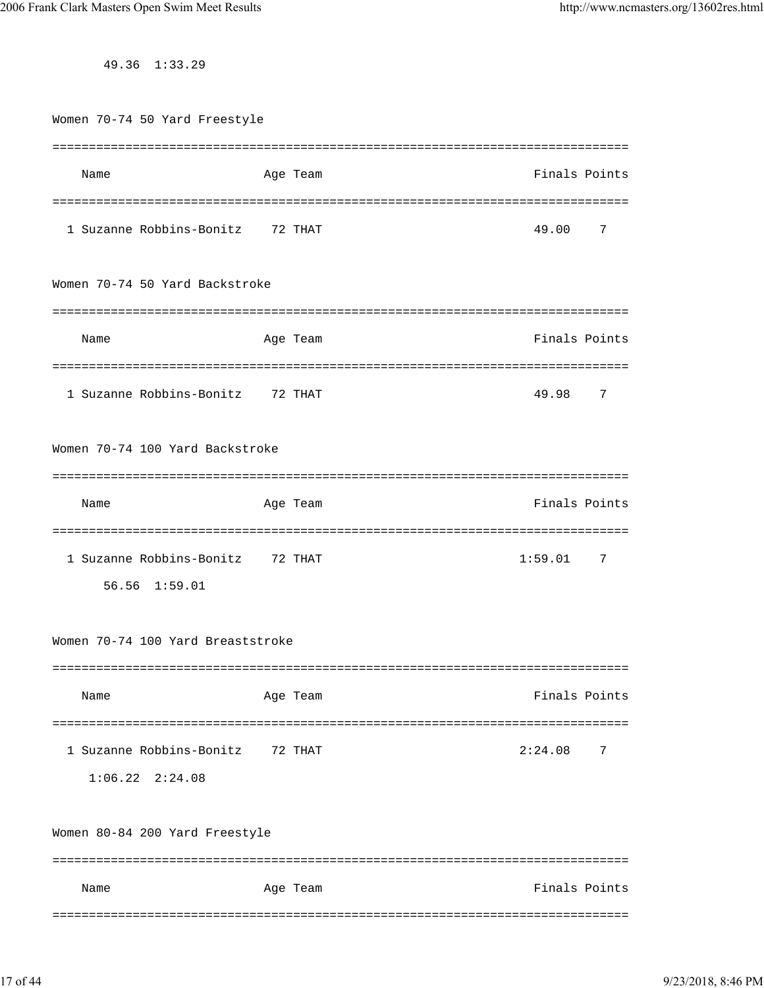49.36 1:33.29

Women 70-74 50 Yard Freestyle =============================================================================== Name Age Team Age Team Finals Points =============================================================================== 1 Suzanne Robbins-Bonitz 72 THAT 49.00 7 Women 70-74 50 Yard Backstroke =============================================================================== Name Age Team Age Team Finals Points =============================================================================== 1 Suzanne Robbins-Bonitz 72 THAT 49.98 7 Women 70-74 100 Yard Backstroke =============================================================================== Name Age Team Age Age Team Finals Points =============================================================================== 1 Suzanne Robbins-Bonitz 72 THAT 1:59.01 7 56.56 1:59.01 Women 70-74 100 Yard Breaststroke =============================================================================== Name Age Team Age Team Finals Points =============================================================================== 1 Suzanne Robbins-Bonitz 72 THAT 2:24.08 7 1:06.22 2:24.08 Women 80-84 200 Yard Freestyle =============================================================================== Name Age Team Age Team Finals Points ===============================================================================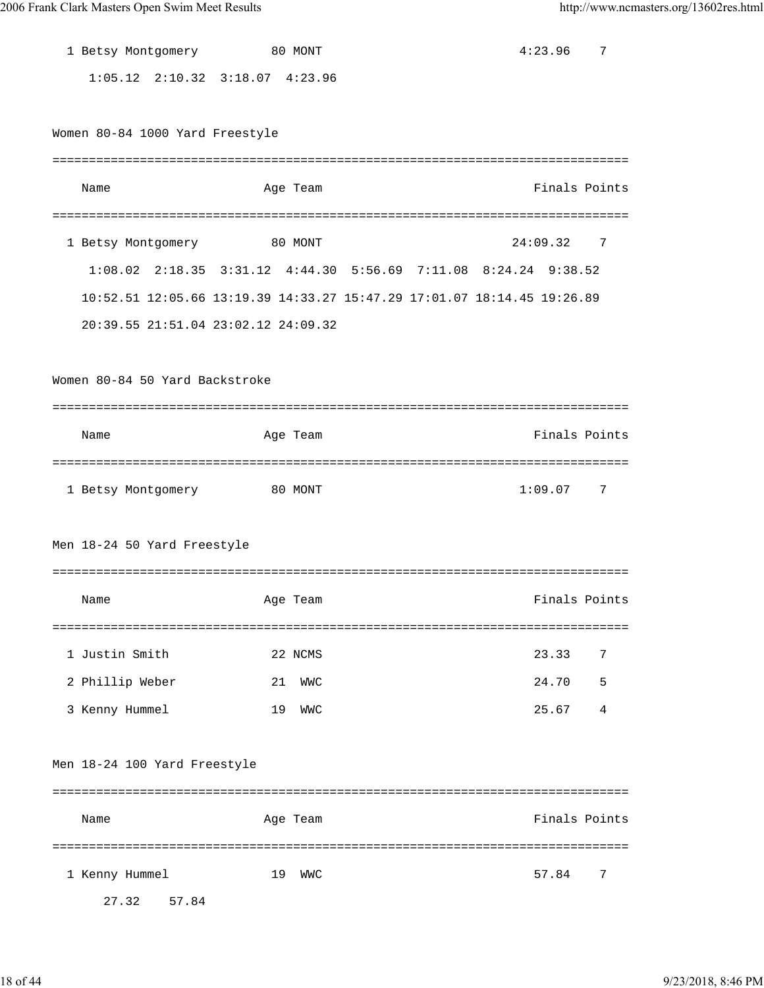| 1 Betsy Montgomery 80 MONT              |    |            |                                                                         | 4:23.96       | 7   |
|-----------------------------------------|----|------------|-------------------------------------------------------------------------|---------------|-----|
| $1:05.12$ $2:10.32$ $3:18.07$ $4:23.96$ |    |            |                                                                         |               |     |
|                                         |    |            |                                                                         |               |     |
| Women 80-84 1000 Yard Freestyle         |    |            |                                                                         |               |     |
|                                         |    |            |                                                                         |               |     |
| Name                                    |    | Age Team   |                                                                         | Finals Points |     |
|                                         |    |            |                                                                         |               |     |
| 1 Betsy Montgomery 80 MONT              |    |            |                                                                         | 24:09.32      | - 7 |
|                                         |    |            | 1:08.02 2:18.35 3:31.12 4:44.30 5:56.69 7:11.08 8:24.24 9:38.52         |               |     |
|                                         |    |            | 10:52.51 12:05.66 13:19.39 14:33.27 15:47.29 17:01.07 18:14.45 19:26.89 |               |     |
| 20:39.55 21:51.04 23:02.12 24:09.32     |    |            |                                                                         |               |     |
|                                         |    |            |                                                                         |               |     |
| Women 80-84 50 Yard Backstroke          |    |            |                                                                         |               |     |
|                                         |    |            |                                                                         |               |     |
| Name                                    |    | Age Team   |                                                                         | Finals Points |     |
|                                         |    |            |                                                                         |               |     |
| 1 Betsy Montgomery                      |    | 80 MONT    |                                                                         | 1:09.07       | 7   |
|                                         |    |            |                                                                         |               |     |
| Men 18-24 50 Yard Freestyle             |    |            |                                                                         |               |     |
|                                         |    |            |                                                                         |               |     |
| Name                                    |    | Age Team   |                                                                         | Finals Points |     |
|                                         |    |            |                                                                         |               |     |
| 1 Justin Smith                          |    | 22 NCMS    |                                                                         | 23.33         | 7   |
| 2 Phillip Weber                         | 21 | <b>WMC</b> |                                                                         | 24.70         | 5   |
| 3 Kenny Hummel                          | 19 | <b>WMC</b> |                                                                         | 25.67         | 4   |
|                                         |    |            |                                                                         |               |     |
| Men 18-24 100 Yard Freestyle            |    |            |                                                                         |               |     |
|                                         |    |            |                                                                         |               |     |
| Name                                    |    | Age Team   |                                                                         | Finals Points |     |
|                                         |    |            |                                                                         |               |     |
| 1 Kenny Hummel                          | 19 | WWC        |                                                                         | 57.84         | 7   |

27.32 57.84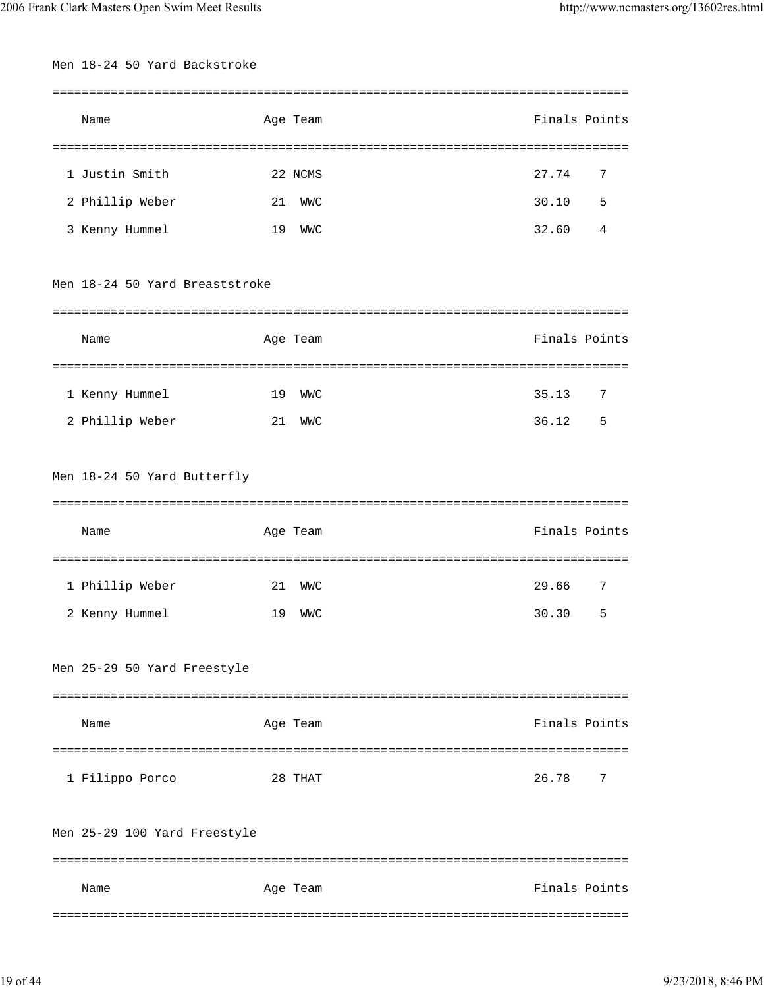| Men 18-24 50 Yard Backstroke   |    |            |               |   |
|--------------------------------|----|------------|---------------|---|
|                                |    |            |               |   |
| Name                           |    | Age Team   | Finals Points |   |
|                                |    |            |               |   |
| 1 Justin Smith                 |    | 22 NCMS    | 27.74         | 7 |
| 2 Phillip Weber                | 21 | WWC        | 30.10         | 5 |
| 3 Kenny Hummel                 | 19 | <b>WMC</b> | 32.60         | 4 |
| Men 18-24 50 Yard Breaststroke |    |            |               |   |
| Name                           |    | Age Team   | Finals Points |   |
|                                |    |            |               |   |
| 1 Kenny Hummel                 | 19 | WWC        | 35.13         | 7 |
| 2 Phillip Weber                | 21 | WWC        | 36.12<br>$-5$ |   |
|                                |    |            |               |   |
| Men 18-24 50 Yard Butterfly    |    |            |               |   |
|                                |    |            |               |   |
|                                |    |            |               |   |
| Name                           |    | Age Team   | Finals Points |   |
|                                |    |            |               |   |
| 1 Phillip Weber                | 21 | WWC        | 29.66         | 7 |
| 2 Kenny Hummel                 |    | 19 WWC     | 30.30 5       |   |
|                                |    |            |               |   |
| Men 25-29 50 Yard Freestyle    |    |            |               |   |
|                                |    |            |               |   |
| Name                           |    | Age Team   | Finals Points |   |
|                                |    |            |               |   |
| 1 Filippo Porco                |    | 28 THAT    | 26.78         | 7 |
|                                |    |            |               |   |
| Men 25-29 100 Yard Freestyle   |    |            |               |   |
|                                |    |            |               |   |
| Name                           |    | Age Team   | Finals Points |   |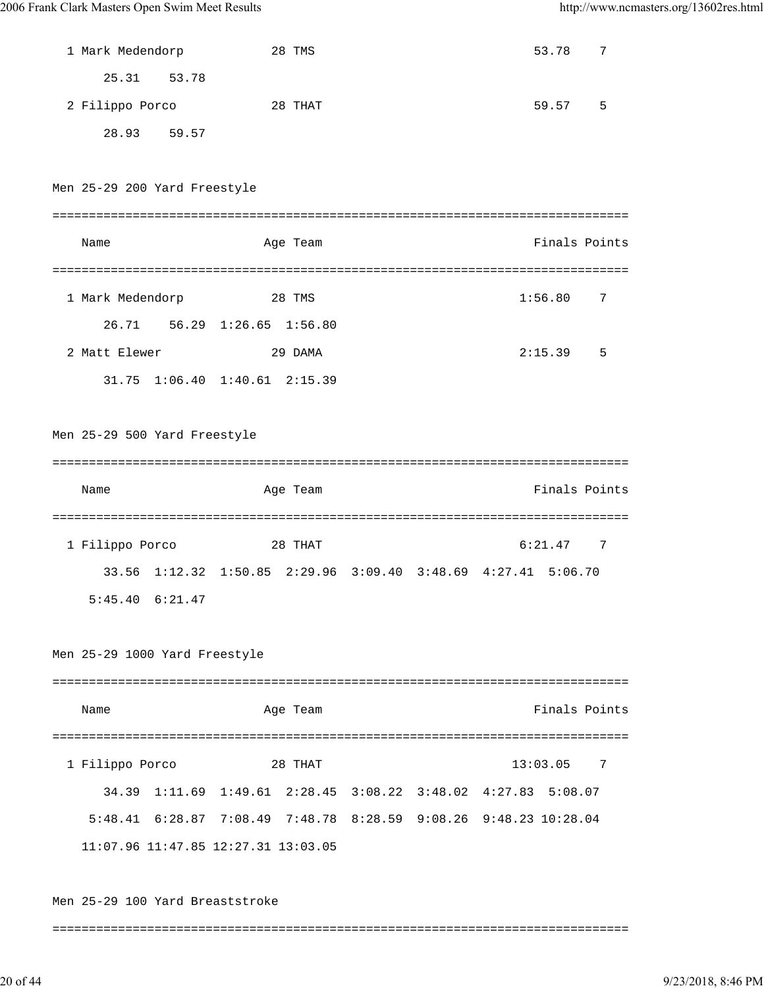| 1 Mark Medendorp              | 28 TMS                                                           | 53.78         | 7 |
|-------------------------------|------------------------------------------------------------------|---------------|---|
| 25.31 53.78                   |                                                                  |               |   |
| 2 Filippo Porco               | 28 THAT                                                          | 59.57         | 5 |
| 28.93 59.57                   |                                                                  |               |   |
|                               |                                                                  |               |   |
| Men 25-29 200 Yard Freestyle  |                                                                  |               |   |
|                               |                                                                  |               |   |
| Name                          | Age Team                                                         | Finals Points |   |
|                               |                                                                  |               |   |
| 1 Mark Medendorp              | 28 TMS                                                           | 1:56.80       | 7 |
|                               | 26.71 56.29 1:26.65 1:56.80                                      |               |   |
| 2 Matt Elewer                 | 29 DAMA                                                          | 2:15.39       | 5 |
|                               | 31.75 1:06.40 1:40.61 2:15.39                                    |               |   |
|                               |                                                                  |               |   |
| Men 25-29 500 Yard Freestyle  |                                                                  |               |   |
|                               |                                                                  |               |   |
|                               |                                                                  |               |   |
| Name                          | Age Team                                                         | Finals Points |   |
|                               |                                                                  |               |   |
| 1 Filippo Porco               | 28 THAT                                                          | 6:21.47       | 7 |
|                               | 33.56 1:12.32 1:50.85 2:29.96 3:09.40 3:48.69 4:27.41 5:06.70    |               |   |
| 5:45.40 6:21.47               |                                                                  |               |   |
|                               |                                                                  |               |   |
| Men 25-29 1000 Yard Freestyle |                                                                  |               |   |
|                               |                                                                  |               |   |
| Name                          | Age Team                                                         | Finals Points |   |
|                               |                                                                  |               |   |
| 1 Filippo Porco               | 28 THAT                                                          | 13:03.05<br>7 |   |
| 34.39                         | 1:11.69  1:49.61  2:28.45  3:08.22  3:48.02  4:27.83  5:08.07    |               |   |
|                               | 5:48.41 6:28.87 7:08.49 7:48.78 8:28.59 9:08.26 9:48.23 10:28.04 |               |   |
|                               | 11:07.96 11:47.85 12:27.31 13:03.05                              |               |   |
|                               |                                                                  |               |   |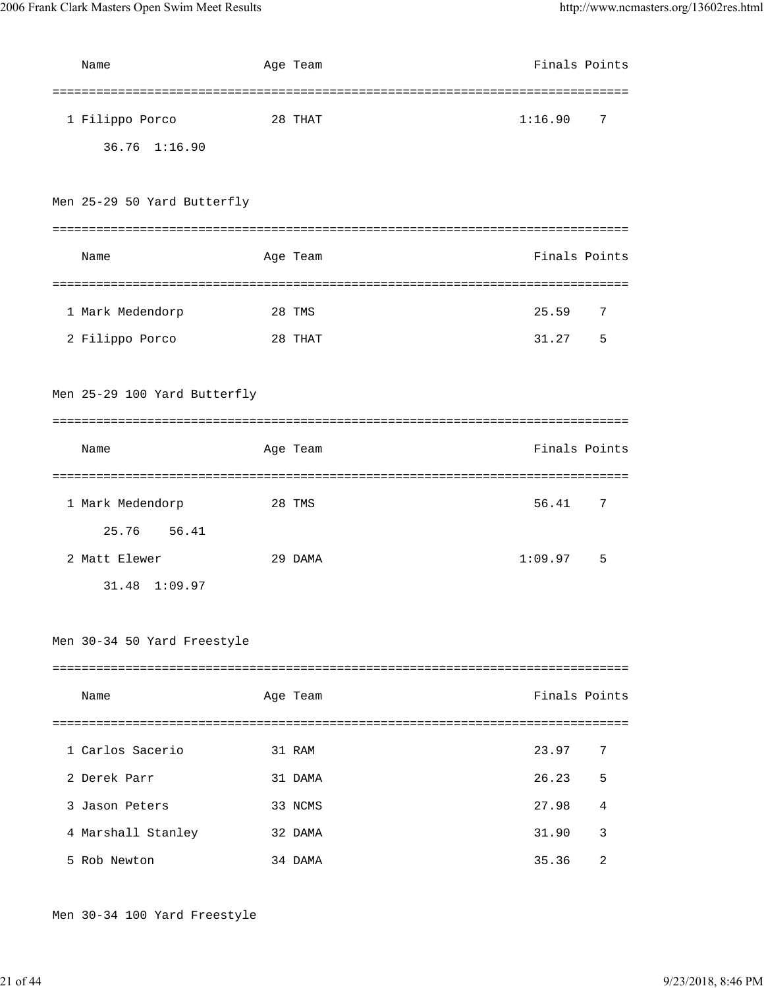| Name                              | Age Team | Finals Points |    |
|-----------------------------------|----------|---------------|----|
| 1 Filippo Porco<br>36.76 1:16.90  | 28 THAT  | 1:16.90       | -7 |
| Men 25-29 50 Yard Butterfly       |          |               |    |
| Name                              | Age Team | Finals Points |    |
| 1 Mark Medendorp                  | 28 TMS   | 25.59         | 7  |
| 2 Filippo Porco                   | 28 THAT  | 31.27         | 5  |
| Men 25-29 100 Yard Butterfly      |          |               |    |
| Name                              | Age Team | Finals Points |    |
| 1 Mark Medendorp<br>25.76 56.41   | 28 TMS   | 56.41         | 7  |
| 2 Matt Elewer<br>31.48<br>1:09.97 | 29 DAMA  | 1:09.97       | 5  |
| Men 30-34 50 Yard Freestyle       |          |               |    |
| Name                              | Age Team | Finals Points |    |
|                                   |          |               |    |
| 1 Carlos Sacerio                  | 31 RAM   | 23.97         | 7  |
| 2 Derek Parr                      | 31 DAMA  | 26.23         | 5  |
| 3 Jason Peters                    | 33 NCMS  | 27.98         | 4  |
| 4 Marshall Stanley                | 32 DAMA  | 31.90         | 3  |
| 5 Rob Newton                      | 34 DAMA  | 35.36         | 2  |

Men 30-34 100 Yard Freestyle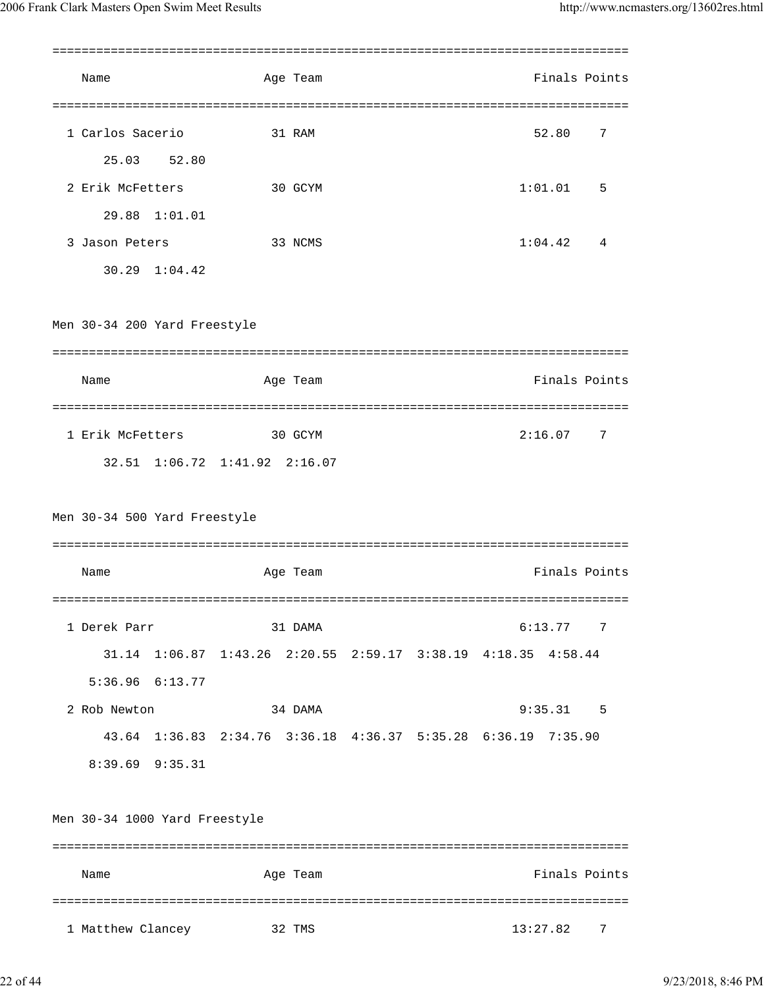| Name                          |               |                                                               | Age Team |  |          |         | Finals Points |
|-------------------------------|---------------|---------------------------------------------------------------|----------|--|----------|---------|---------------|
| 1 Carlos Sacerio              |               |                                                               | 31 RAM   |  |          | 52.80   | 7             |
| 25.03                         | 52.80         |                                                               |          |  |          |         |               |
| 2 Erik McFetters              |               |                                                               | 30 GCYM  |  |          | 1:01.01 | 5             |
|                               | 29.88 1:01.01 |                                                               |          |  |          |         |               |
| 3 Jason Peters                |               |                                                               | 33 NCMS  |  |          | 1:04.42 | 4             |
|                               | 30.29 1:04.42 |                                                               |          |  |          |         |               |
| Men 30-34 200 Yard Freestyle  |               |                                                               |          |  |          |         |               |
| Name                          |               |                                                               | Age Team |  |          |         | Finals Points |
| 1 Erik McFetters              |               |                                                               | 30 GCYM  |  |          | 2:16.07 | 7             |
|                               |               | 32.51 1:06.72 1:41.92 2:16.07                                 |          |  |          |         |               |
| Men 30-34 500 Yard Freestyle  |               |                                                               |          |  |          |         |               |
| Name                          |               |                                                               | Age Team |  |          |         | Finals Points |
| 1 Derek Parr                  |               |                                                               | 31 DAMA  |  |          | 6:13.77 | 7             |
|                               |               | 31.14 1:06.87 1:43.26 2:20.55 2:59.17 3:38.19 4:18.35 4:58.44 |          |  |          |         |               |
| $5:36.96$ $6:13.77$           |               |                                                               |          |  |          |         |               |
| 2 Rob Newton                  |               |                                                               | 34 DAMA  |  |          | 9:35.31 | -5            |
|                               |               | 43.64 1:36.83 2:34.76 3:36.18 4:36.37 5:35.28 6:36.19         |          |  |          | 7:35.90 |               |
| $8:39.69$ $9:35.31$           |               |                                                               |          |  |          |         |               |
| Men 30-34 1000 Yard Freestyle |               |                                                               |          |  |          |         |               |
| Name                          |               |                                                               | Age Team |  |          |         | Finals Points |
| 1 Matthew Clancey             |               |                                                               | 32 TMS   |  | 13:27.82 |         | 7             |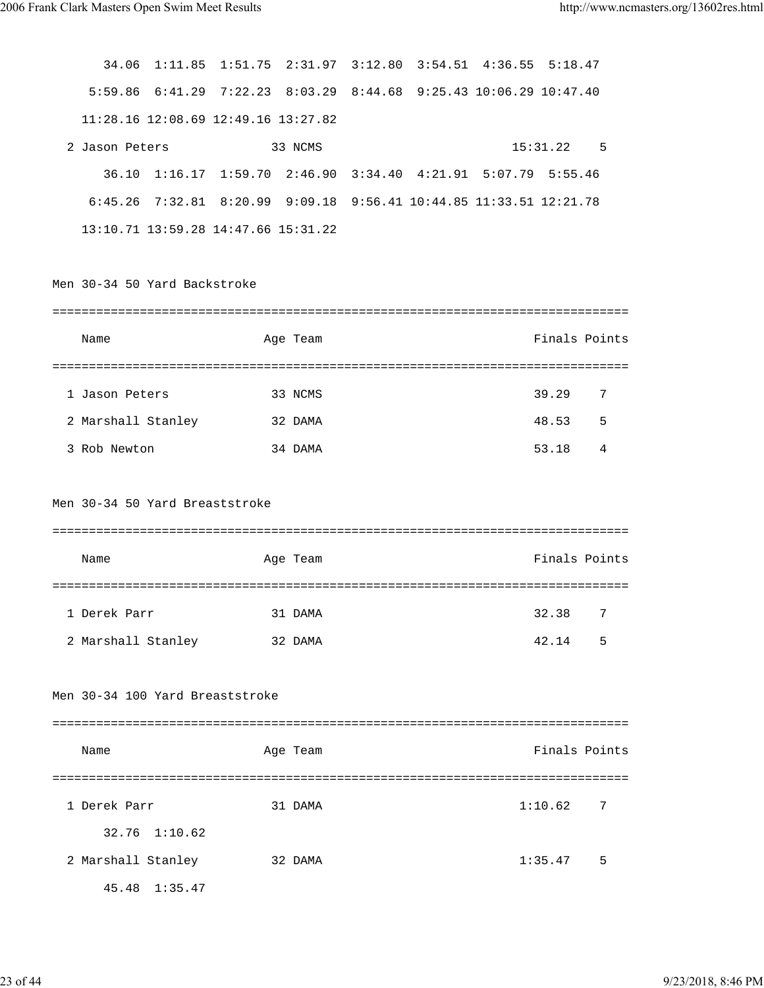| 34.06                          | 1:11.85 | 1:51.75 2:31.97 3:12.80 3:54.51 4:36.55                            |          |  |                                   | 5:18.47       |      |
|--------------------------------|---------|--------------------------------------------------------------------|----------|--|-----------------------------------|---------------|------|
|                                |         | $5:59.86$ $6:41.29$ $7:22.23$ $8:03.29$                            |          |  | 8:44.68 9:25.43 10:06.29 10:47.40 |               |      |
|                                |         | 11:28.16 12:08.69 12:49.16 13:27.82                                |          |  |                                   |               |      |
| 2 Jason Peters                 |         |                                                                    | 33 NCMS  |  |                                   | 15:31.22      | $-5$ |
|                                |         | 36.10 1:16.17 1:59.70 2:46.90                                      |          |  | $3:34.40$ $4:21.91$ $5:07.79$     | 5:55.46       |      |
|                                |         | 6:45.26 7:32.81 8:20.99 9:09.18 9:56.41 10:44.85 11:33.51 12:21.78 |          |  |                                   |               |      |
|                                |         | 13:10.71 13:59.28 14:47.66 15:31.22                                |          |  |                                   |               |      |
|                                |         |                                                                    |          |  |                                   |               |      |
| Men 30-34 50 Yard Backstroke   |         |                                                                    |          |  |                                   |               |      |
|                                |         |                                                                    |          |  |                                   |               |      |
| Name                           |         |                                                                    | Age Team |  |                                   | Finals Points |      |
|                                |         |                                                                    |          |  |                                   |               |      |
| 1 Jason Peters                 |         |                                                                    | 33 NCMS  |  |                                   | 39.29         | 7    |
| 2 Marshall Stanley             |         |                                                                    | 32 DAMA  |  |                                   | 48.53         | 5    |
| 3 Rob Newton                   |         |                                                                    | 34 DAMA  |  |                                   | 53.18         | 4    |
|                                |         |                                                                    |          |  |                                   |               |      |
| Men 30-34 50 Yard Breaststroke |         |                                                                    |          |  |                                   |               |      |
|                                |         |                                                                    |          |  |                                   |               |      |
| Name                           |         |                                                                    | Age Team |  |                                   | Finals Points |      |
|                                |         |                                                                    |          |  |                                   |               |      |
| 1 Derek Parr                   |         |                                                                    | 31 DAMA  |  |                                   | 32.38         | 7    |
| 2 Marshall Stanley             |         |                                                                    | 32 DAMA  |  |                                   | 42.14         | 5    |
|                                |         |                                                                    |          |  |                                   |               |      |
|                                |         | Men 30-34 100 Yard Breaststroke                                    |          |  |                                   |               |      |
|                                |         |                                                                    |          |  |                                   |               |      |
| Name                           |         |                                                                    | Age Team |  |                                   | Finals Points |      |
|                                |         |                                                                    |          |  |                                   |               |      |
| 1 Derek Parr                   |         |                                                                    | 31 DAMA  |  |                                   | 1:10.62       | 7    |
| 32.76                          | 1:10.62 |                                                                    |          |  |                                   |               |      |
| 2 Marshall Stanley             |         |                                                                    | 32 DAMA  |  |                                   | 1:35.47       | 5    |
| 45.48                          | 1:35.47 |                                                                    |          |  |                                   |               |      |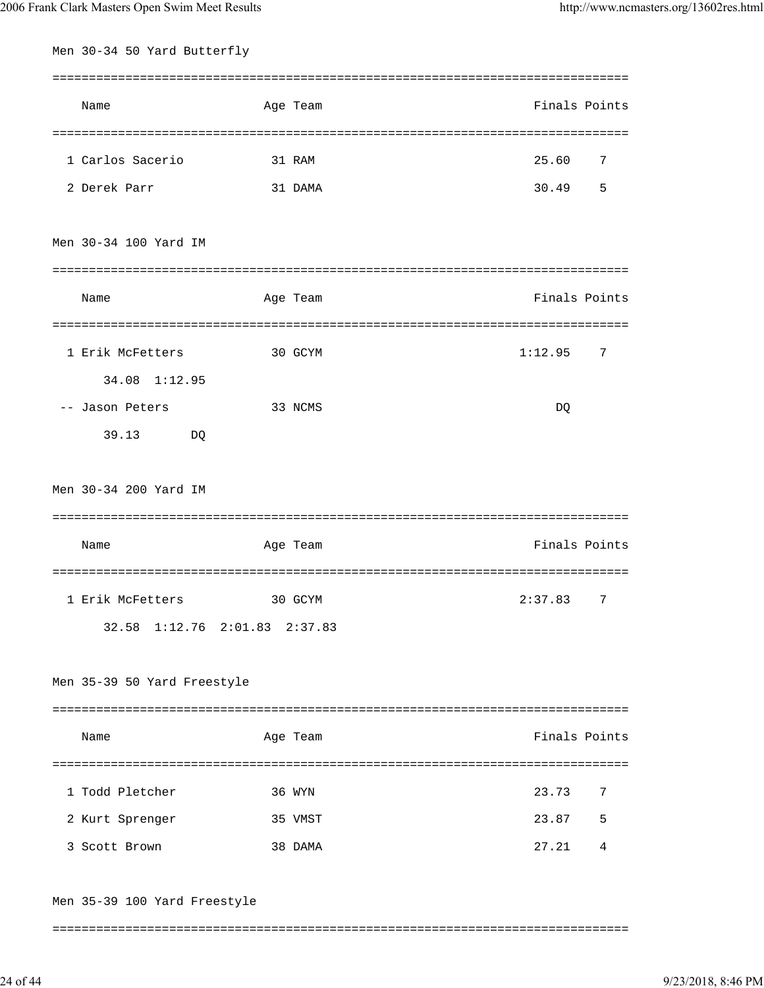| Men 30-34 50 Yard Butterfly   |          |               |
|-------------------------------|----------|---------------|
| Name                          | Age Team | Finals Points |
|                               |          |               |
| 1 Carlos Sacerio              | 31 RAM   | 25.60<br>7    |
| 2 Derek Parr                  | 31 DAMA  | 30.49<br>5    |
| Men 30-34 100 Yard IM         |          |               |
| Name                          | Age Team | Finals Points |
|                               |          |               |
| 1 Erik McFetters              | 30 GCYM  | 1:12.95<br>7  |
| 34.08 1:12.95                 |          |               |
| -- Jason Peters               | 33 NCMS  | DQ            |
| 39.13<br>DQ                   |          |               |
| Men 30-34 200 Yard IM         |          |               |
|                               |          |               |
| Name                          | Age Team | Finals Points |
|                               |          |               |
| 1 Erik McFetters              | 30 GCYM  | 2:37.83<br>7  |
| 32.58 1:12.76 2:01.83 2:37.83 |          |               |
| Men 35-39 50 Yard Freestyle   |          |               |
|                               |          | Finals Points |
| Name                          | Age Team |               |
|                               |          |               |
| 1 Todd Pletcher               | 36 WYN   | 23.73<br>7    |
| 2 Kurt Sprenger               | 35 VMST  | 23.87<br>5    |
| 3 Scott Brown                 | 38 DAMA  | 27.21<br>4    |
|                               |          |               |

Men 35-39 100 Yard Freestyle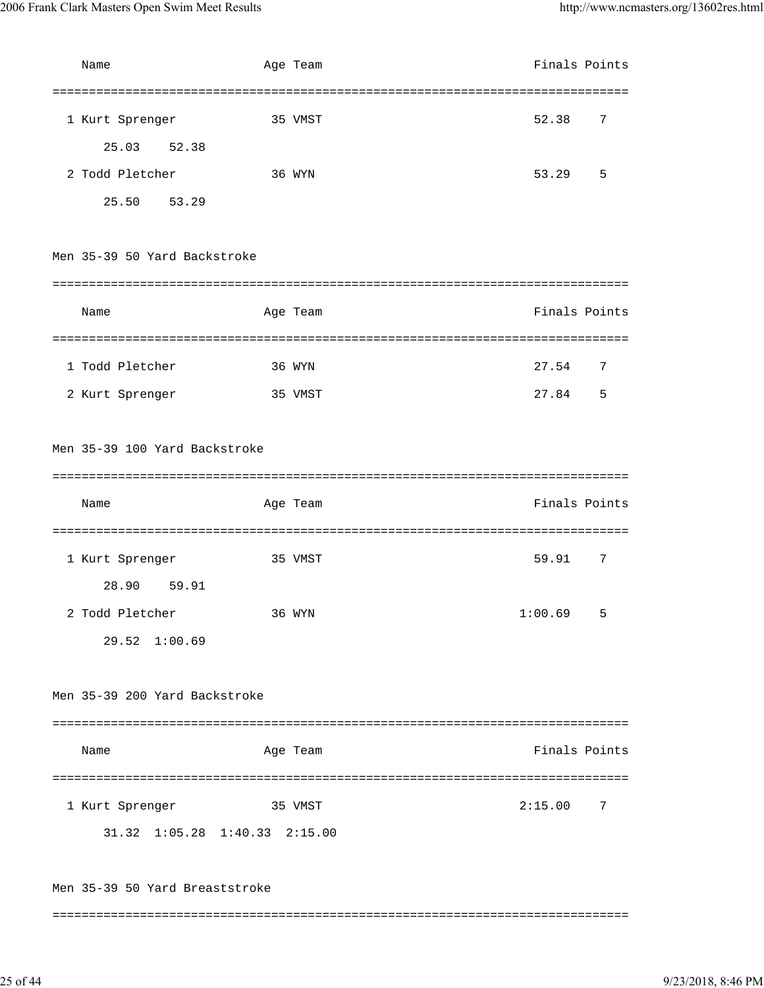| Name                          |        | Age Team | Finals Points |   |
|-------------------------------|--------|----------|---------------|---|
|                               |        |          |               |   |
| 1 Kurt Sprenger               |        | 35 VMST  | 52.38         | 7 |
| 25.03 52.38                   |        |          |               |   |
| 2 Todd Pletcher               | 36 WYN |          | 53.29         | 5 |
| 25.50 53.29                   |        |          |               |   |
| Men 35-39 50 Yard Backstroke  |        |          |               |   |
|                               |        |          |               |   |
| Name                          |        | Age Team | Finals Points |   |
|                               |        |          |               |   |
| 1 Todd Pletcher               |        | 36 WYN   | 27.54         | 7 |
| 2 Kurt Sprenger               |        | 35 VMST  | 27.84         | 5 |
|                               |        |          |               |   |
| Men 35-39 100 Yard Backstroke |        |          |               |   |
|                               |        |          |               |   |
|                               |        |          |               |   |
| Name                          |        | Age Team | Finals Points |   |
|                               |        |          |               |   |
| 1 Kurt Sprenger               |        | 35 VMST  | 59.91         | 7 |
| 28.90 59.91                   |        |          |               |   |
| 2 Todd Pletcher               |        | 36 WYN   | 1:00.69       | 5 |
| 29.52 1:00.69                 |        |          |               |   |
|                               |        |          |               |   |
| Men 35-39 200 Yard Backstroke |        |          |               |   |
|                               |        |          |               |   |
| Name                          |        | Age Team | Finals Points |   |
|                               |        |          |               |   |
| 1 Kurt Sprenger               |        | 35 VMST  | 2:15.00       | 7 |
| 31.32 1:05.28 1:40.33 2:15.00 |        |          |               |   |
|                               |        |          |               |   |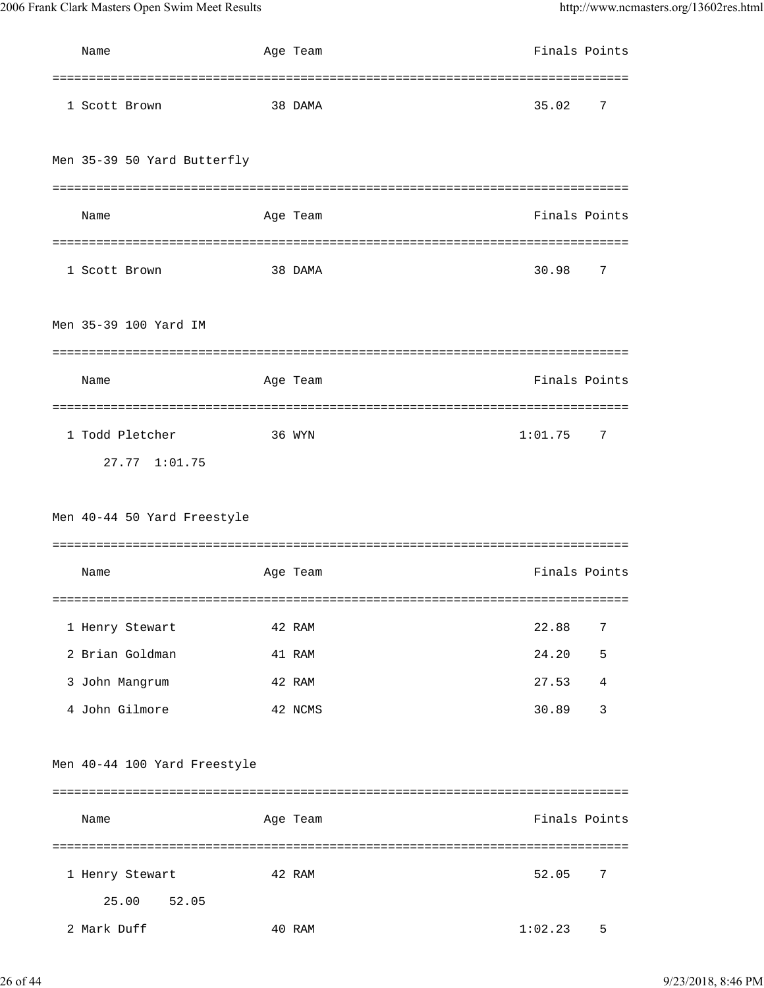| Name                           | Age Team | Finals Points |                |
|--------------------------------|----------|---------------|----------------|
| 1 Scott Brown                  | 38 DAMA  | 35.02         | 7              |
| Men 35-39 50 Yard Butterfly    |          |               |                |
|                                |          |               |                |
| Name                           | Age Team | Finals Points |                |
|                                |          |               |                |
| 1 Scott Brown                  | 38 DAMA  | 30.98         | 7              |
| Men 35-39 100 Yard IM          |          |               |                |
|                                |          |               |                |
| Name                           | Age Team | Finals Points |                |
|                                |          |               |                |
| 1 Todd Pletcher                | 36 WYN   | 1:01.75       | 7              |
| 27.77 1:01.75                  |          |               |                |
| Men 40-44 50 Yard Freestyle    |          |               |                |
| Name                           | Age Team | Finals Points |                |
| 1 Henry Stewart                | 42 RAM   | 22.88         | 7              |
| 2 Brian Goldman                | 41 RAM   | 24.20         | 5              |
| 3 John Mangrum                 | 42 RAM   | 27.53         | $\overline{4}$ |
| 4 John Gilmore                 | 42 NCMS  | 30.89         | 3              |
| Men 40-44 100 Yard Freestyle   |          |               |                |
| Name                           | Age Team | Finals Points |                |
| 1 Henry Stewart<br>25.00 52.05 | 42 RAM   | 52.05         | 7              |
| 2 Mark Duff                    | 40 RAM   | 1:02.23       | 5              |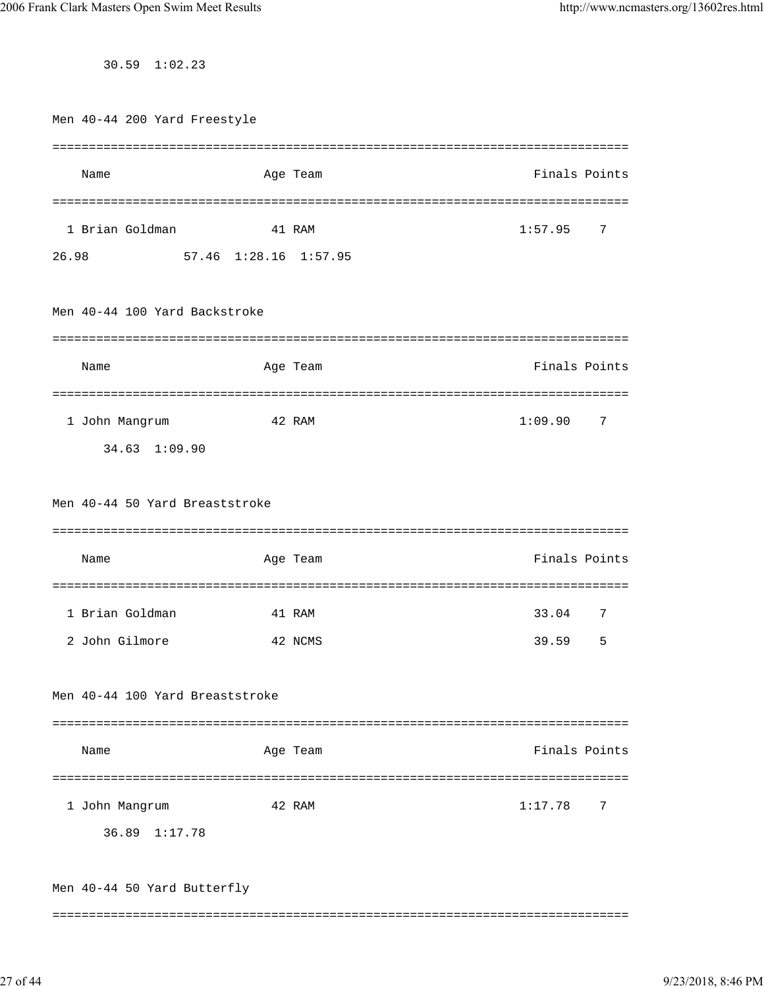30.59 1:02.23

|       | Men 40-44 200 Yard Freestyle    |                       |          |                                |               |         |
|-------|---------------------------------|-----------------------|----------|--------------------------------|---------------|---------|
|       |                                 |                       |          |                                |               |         |
|       | Name                            |                       | Age Team |                                | Finals Points |         |
|       |                                 |                       |          |                                |               |         |
|       | 1 Brian Goldman                 |                       | 41 RAM   |                                | 1:57.95       | 7       |
| 26.98 |                                 | 57.46 1:28.16 1:57.95 |          |                                |               |         |
|       |                                 |                       |          |                                |               |         |
|       | Men 40-44 100 Yard Backstroke   |                       |          |                                |               |         |
|       |                                 |                       |          |                                |               |         |
|       | Name                            |                       | Age Team |                                | Finals Points |         |
|       |                                 | ====================  |          | =========================      |               |         |
|       | 1 John Mangrum                  |                       | 42 RAM   |                                | 1:09.90       | 7       |
|       | 34.63 1:09.90                   |                       |          |                                |               |         |
|       |                                 |                       |          |                                |               |         |
|       | Men 40-44 50 Yard Breaststroke  |                       |          |                                |               |         |
|       |                                 |                       |          |                                |               |         |
|       | Name                            |                       | Age Team |                                | Finals Points |         |
|       |                                 | ===============       |          | ============================== |               |         |
|       | 1 Brian Goldman                 |                       | 41 RAM   |                                | 33.04         | 7       |
|       | 2 John Gilmore                  |                       | 42 NCMS  |                                | 39.59         | 5       |
|       |                                 |                       |          |                                |               |         |
|       | Men 40-44 100 Yard Breaststroke |                       |          |                                |               |         |
|       |                                 |                       |          |                                |               |         |
|       | Name                            |                       | Age Team |                                | Finals Points |         |
|       |                                 |                       |          |                                |               |         |
|       | 1 John Mangrum                  |                       | 42 RAM   |                                | 1:17.78       | 7       |
|       | 36.89 1:17.78                   |                       |          |                                |               |         |
|       |                                 |                       |          |                                |               |         |
|       | Men 40-44 50 Yard Butterfly     |                       |          |                                |               |         |
|       |                                 |                       |          |                                |               | ======= |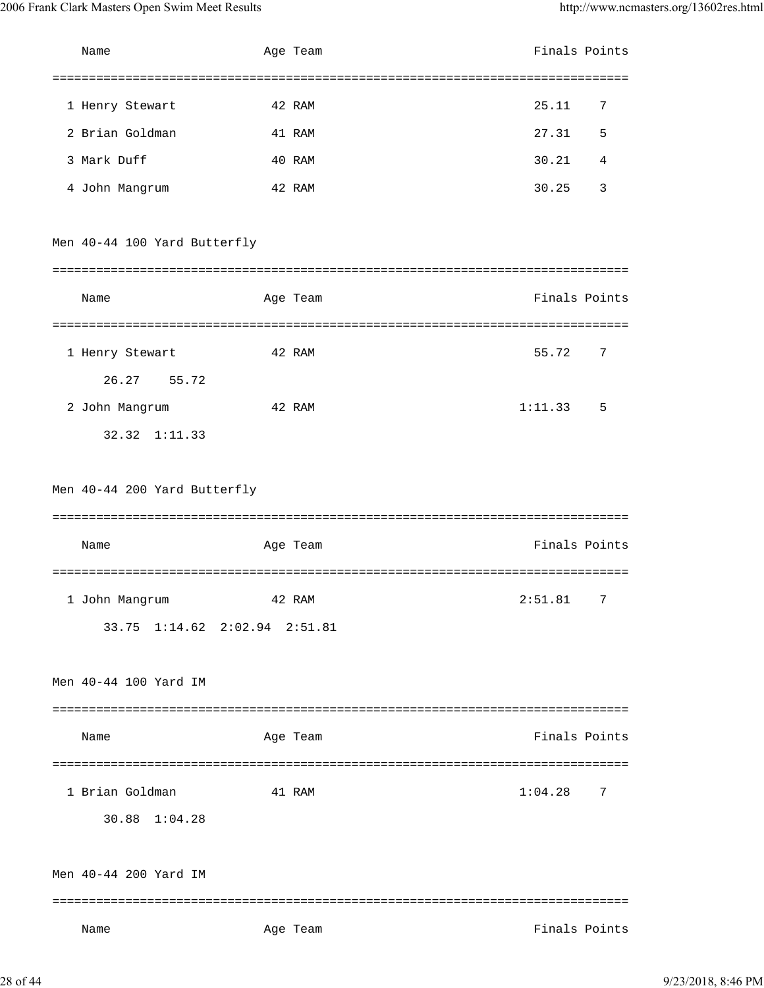| Name                          | Age Team | Finals Points |
|-------------------------------|----------|---------------|
| 1 Henry Stewart               | 42 RAM   | 25.11<br>7    |
| 2 Brian Goldman               | 41 RAM   | 27.31<br>5    |
| 3 Mark Duff                   | 40 RAM   | 30.21<br>4    |
| 4 John Mangrum                | 42 RAM   | 30.25<br>3    |
| Men 40-44 100 Yard Butterfly  |          |               |
|                               |          |               |
| Name                          | Age Team | Finals Points |
|                               |          |               |
| 1 Henry Stewart               | 42 RAM   | 55.72<br>7    |
| 26.27 55.72                   |          |               |
| 2 John Mangrum                | 42 RAM   | 1:11.33<br>5  |
| $32.32 \quad 1:11.33$         |          |               |
|                               |          |               |
| Men 40-44 200 Yard Butterfly  |          |               |
|                               |          |               |
| Name                          | Age Team | Finals Points |
|                               |          |               |
| 1 John Mangrum                | 42 RAM   | 2:51.81<br>7  |
| 33.75 1:14.62 2:02.94 2:51.81 |          |               |
|                               |          |               |
| Men 40-44 100 Yard IM         |          |               |
|                               |          |               |
| Name                          | Age Team | Finals Points |
|                               |          |               |
| 1 Brian Goldman               | 41 RAM   | 1:04.28<br>7  |
| 30.88 1:04.28                 |          |               |
|                               |          |               |
| Men 40-44 200 Yard IM         |          |               |
|                               |          |               |
| Name                          | Age Team | Finals Points |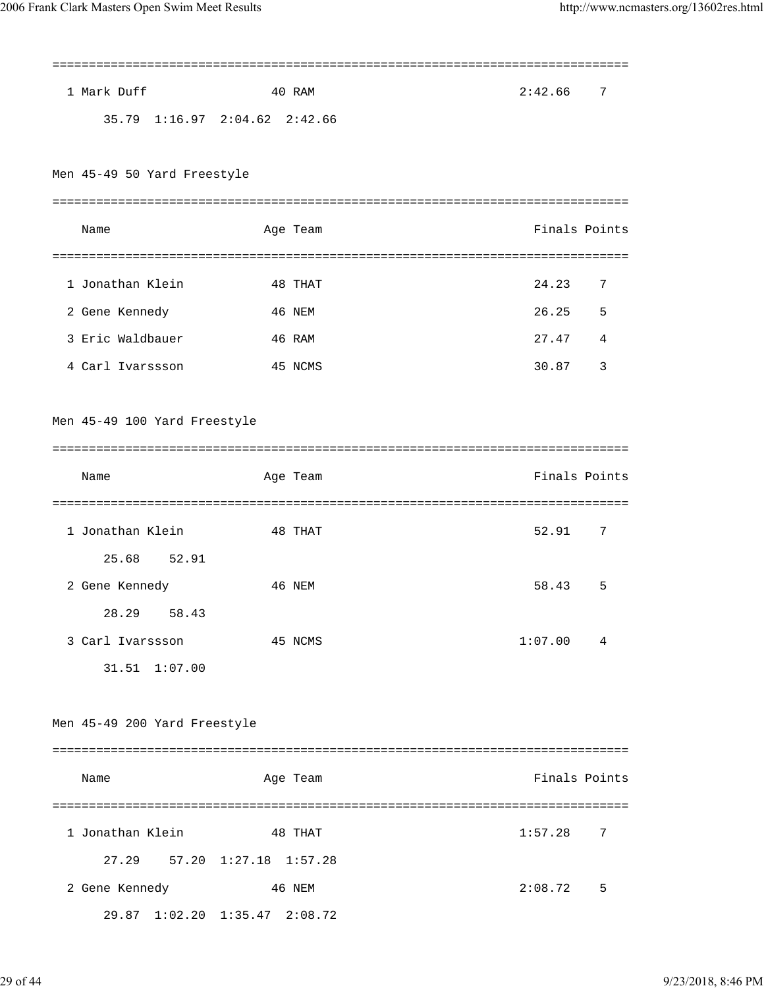| 1 Mark Duff                  | 40 RAM                        | 2:42.66<br>7  |
|------------------------------|-------------------------------|---------------|
|                              | 35.79 1:16.97 2:04.62 2:42.66 |               |
|                              |                               |               |
| Men 45-49 50 Yard Freestyle  |                               |               |
|                              |                               |               |
| Name                         | Age Team                      | Finals Points |
|                              |                               |               |
| 1 Jonathan Klein             | 48 THAT                       | 24.23<br>7    |
| 2 Gene Kennedy               | 46 NEM                        | 26.25<br>5    |
| 3 Eric Waldbauer             | 46 RAM                        | 27.47<br>4    |
| 4 Carl Ivarssson             | 45 NCMS                       | 30.87<br>3    |
|                              |                               |               |
| Men 45-49 100 Yard Freestyle |                               |               |
|                              |                               |               |
| Name                         | Age Team                      | Finals Points |
|                              |                               |               |
| 1 Jonathan Klein             | 48 THAT                       | 52.91<br>7    |
| 25.68<br>52.91               |                               |               |
| 2 Gene Kennedy               | 46 NEM                        | 58.43<br>5    |
| 28.29 58.43                  |                               |               |
| 3 Carl Ivarssson             | 45 NCMS                       | 1:07.00<br>4  |
| 31.51 1:07.00                |                               |               |
|                              |                               |               |
| Men 45-49 200 Yard Freestyle |                               |               |
|                              |                               |               |
| Name                         | Age Team                      | Finals Points |
|                              |                               |               |
| 1 Jonathan Klein             | 48 THAT                       | 1:57.28<br>7  |
|                              | 27.29 57.20 1:27.18 1:57.28   |               |
| 2 Gene Kennedy               | 46 NEM                        | 5<br>2:08.72  |
|                              | 29.87 1:02.20 1:35.47 2:08.72 |               |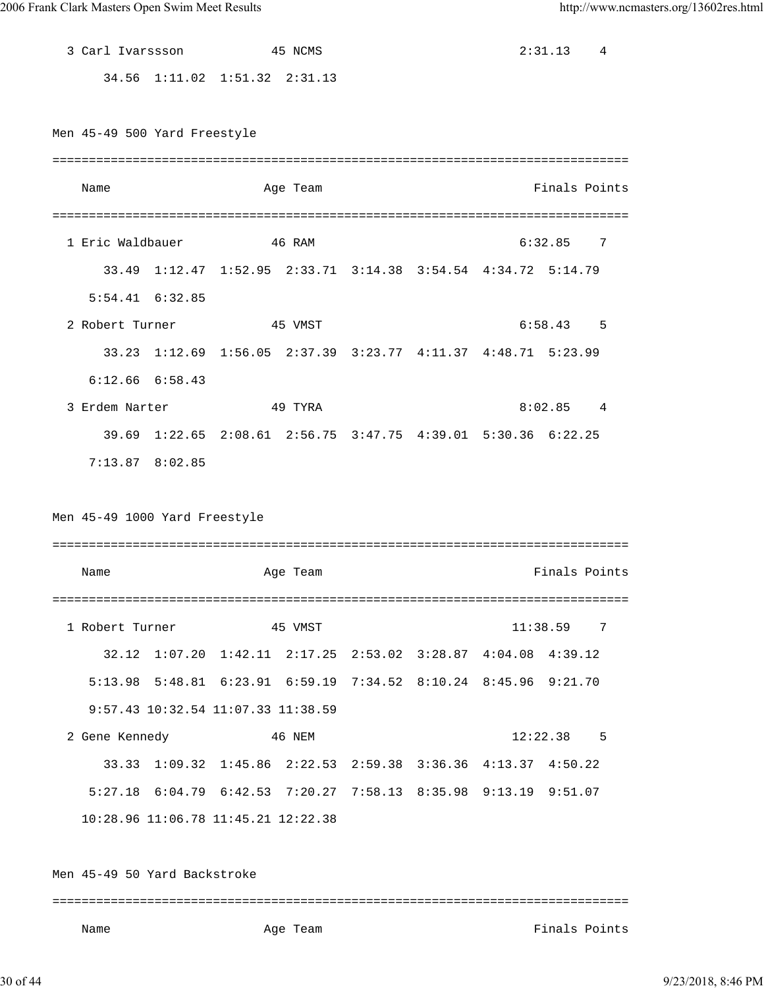3 Carl Ivarssson 45 NCMS 2:31.13 4 34.56 1:11.02 1:51.32 2:31.13 Men 45-49 500 Yard Freestyle =============================================================================== Name **Age Team** Age Team **Finals Points** =============================================================================== 1 Eric Waldbauer 46 RAM 6:32.85 7 33.49 1:12.47 1:52.95 2:33.71 3:14.38 3:54.54 4:34.72 5:14.79 5:54.41 6:32.85 2 Robert Turner 45 VMST 6:58.43 5 33.23 1:12.69 1:56.05 2:37.39 3:23.77 4:11.37 4:48.71 5:23.99 6:12.66 6:58.43 3 Erdem Narter 49 TYRA 8:02.85 4 39.69 1:22.65 2:08.61 2:56.75 3:47.75 4:39.01 5:30.36 6:22.25 7:13.87 8:02.85 Men 45-49 1000 Yard Freestyle =============================================================================== Name Age Team Finals Points =============================================================================== 1 Robert Turner 45 VMST 11:38.59 7 32.12 1:07.20 1:42.11 2:17.25 2:53.02 3:28.87 4:04.08 4:39.12 5:13.98 5:48.81 6:23.91 6:59.19 7:34.52 8:10.24 8:45.96 9:21.70 9:57.43 10:32.54 11:07.33 11:38.59 2 Gene Kennedy 46 NEM 12:22.38 5 33.33 1:09.32 1:45.86 2:22.53 2:59.38 3:36.36 4:13.37 4:50.22 5:27.18 6:04.79 6:42.53 7:20.27 7:58.13 8:35.98 9:13.19 9:51.07 10:28.96 11:06.78 11:45.21 12:22.38 Men 45-49 50 Yard Backstroke =============================================================================== Name **Age Team** Age Team **Finals Points**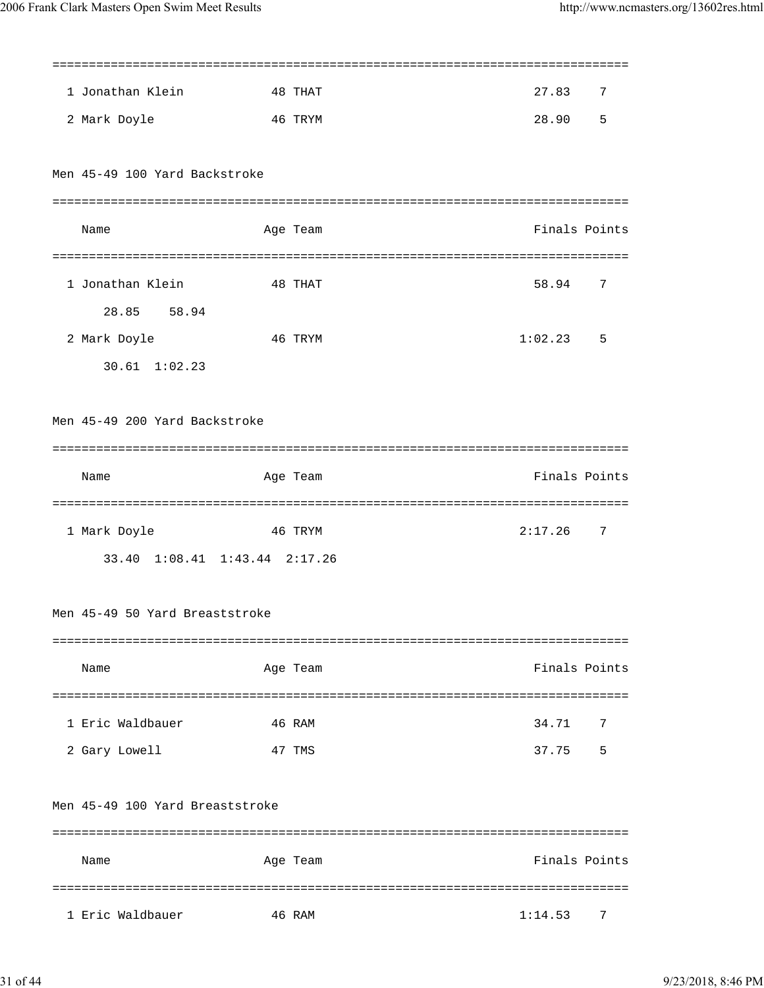| 1 Jonathan Klein                | 48 THAT  | 27.83<br>7    |
|---------------------------------|----------|---------------|
| 2 Mark Doyle                    | 46 TRYM  | 28.90<br>5    |
|                                 |          |               |
| Men 45-49 100 Yard Backstroke   |          |               |
|                                 |          |               |
| Name                            | Age Team | Finals Points |
|                                 |          |               |
| 1 Jonathan Klein                | 48 THAT  | 58.94<br>7    |
| 28.85 58.94                     |          |               |
| 2 Mark Doyle                    | 46 TRYM  | 1:02.23<br>5  |
| $30.61$ $1:02.23$               |          |               |
|                                 |          |               |
| Men 45-49 200 Yard Backstroke   |          |               |
|                                 |          |               |
| Name                            | Age Team | Finals Points |
|                                 |          |               |
| 1 Mark Doyle                    | 46 TRYM  | 2:17.26<br>-7 |
| 33.40 1:08.41 1:43.44 2:17.26   |          |               |
|                                 |          |               |
| Men 45-49 50 Yard Breaststroke  |          |               |
|                                 |          |               |
| Name                            | Age Team | Finals Points |
|                                 |          |               |
| 1 Eric Waldbauer                | 46 RAM   | 34.71<br>7    |
| 2 Gary Lowell                   | 47 TMS   | 5<br>37.75    |
|                                 |          |               |
| Men 45-49 100 Yard Breaststroke |          |               |
|                                 |          |               |
| Name                            | Age Team | Finals Points |
|                                 |          |               |
| 1 Eric Waldbauer                | 46 RAM   | 7<br>1:14.53  |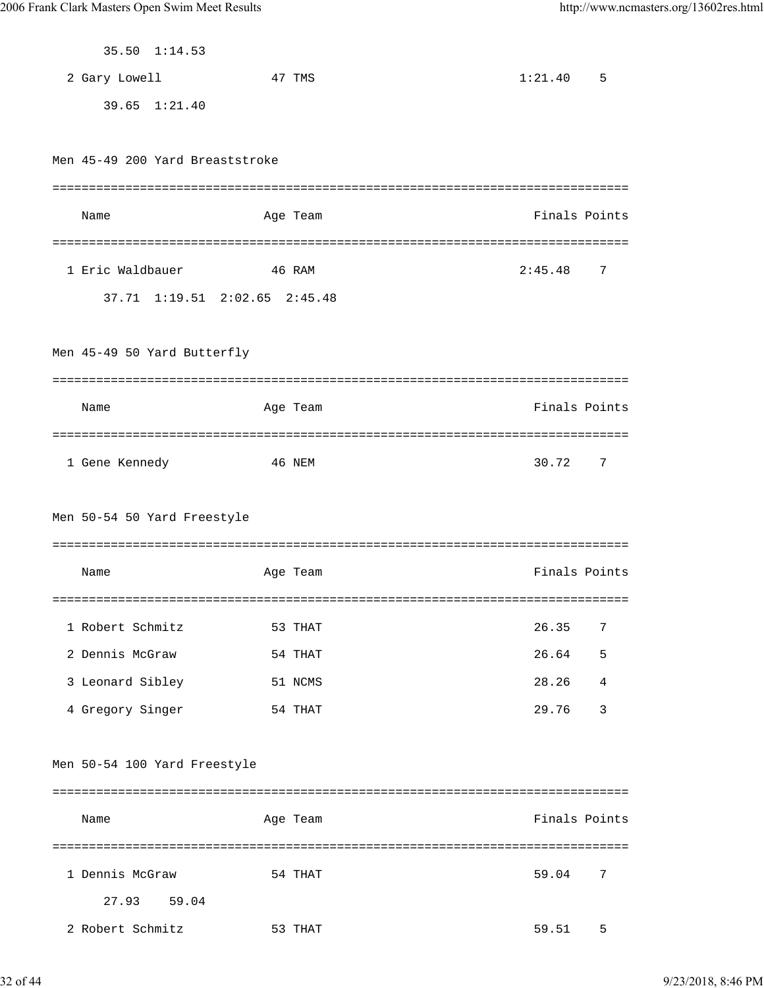| 35.50 1:14.53                   |          |               |                |
|---------------------------------|----------|---------------|----------------|
| 2 Gary Lowell                   | 47 TMS   | 1:21.40       | 5              |
| 39.65 1:21.40                   |          |               |                |
|                                 |          |               |                |
| Men 45-49 200 Yard Breaststroke |          |               |                |
|                                 |          |               |                |
| Name                            | Age Team | Finals Points |                |
|                                 |          |               |                |
| 1 Eric Waldbauer<br>46 RAM      |          | 2:45.48       | 7              |
| 37.71 1:19.51 2:02.65 2:45.48   |          |               |                |
|                                 |          |               |                |
| Men 45-49 50 Yard Butterfly     |          |               |                |
|                                 |          |               |                |
| Name                            |          | Finals Points |                |
|                                 | Age Team |               |                |
|                                 |          |               |                |
| 46 NEM<br>1 Gene Kennedy        |          | 30.72         | 7              |
|                                 |          |               |                |
| Men 50-54 50 Yard Freestyle     |          |               |                |
|                                 |          |               |                |
| Name                            | Age Team | Finals Points |                |
| ===========                     |          |               |                |
| 1 Robert Schmitz                | 53 THAT  | 26.35         | 7              |
| 2 Dennis McGraw                 | 54 THAT  | 26.64         | 5              |
| 3 Leonard Sibley                | 51 NCMS  | 28.26         | 4              |
| 4 Gregory Singer                | 54 THAT  | 29.76         | $\overline{3}$ |
|                                 |          |               |                |
| Men 50-54 100 Yard Freestyle    |          |               |                |
|                                 |          |               |                |
| Name                            | Age Team | Finals Points |                |
|                                 |          |               |                |
| 1 Dennis McGraw                 | 54 THAT  | 59.04         | 7              |
| 27.93<br>59.04                  |          |               |                |
| 2 Robert Schmitz                | 53 THAT  | 59.51         | 5              |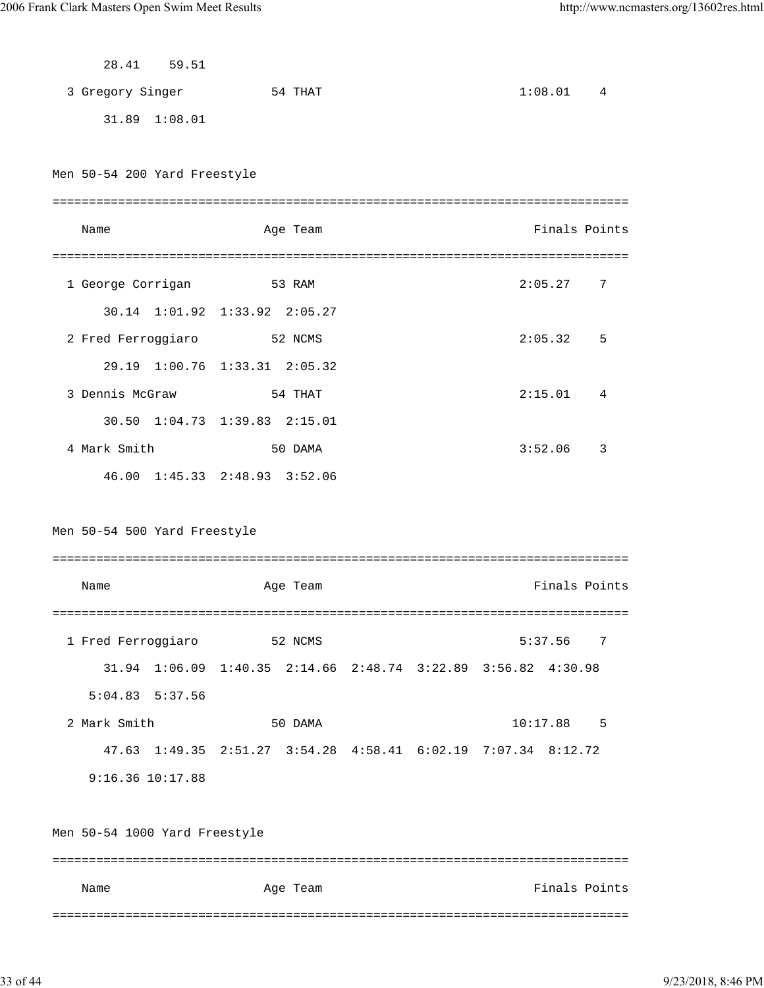|                               | 28.41 59.51   |                                                               |               |   |
|-------------------------------|---------------|---------------------------------------------------------------|---------------|---|
| 3 Gregory Singer              |               | 54 THAT                                                       | 1:08.01       | 4 |
|                               | 31.89 1:08.01 |                                                               |               |   |
|                               |               |                                                               |               |   |
| Men 50-54 200 Yard Freestyle  |               |                                                               |               |   |
|                               |               |                                                               |               |   |
| Name                          |               | Age Team                                                      | Finals Points |   |
|                               |               |                                                               |               |   |
| 1 George Corrigan             |               | 53 RAM                                                        | 2:05.27       | 7 |
|                               |               | 30.14 1:01.92 1:33.92 2:05.27                                 |               |   |
|                               |               | 2 Fred Ferroggiaro 52 NCMS                                    | 2:05.32       | 5 |
|                               |               | 29.19 1:00.76 1:33.31 2:05.32                                 |               |   |
| 3 Dennis McGraw               |               | 54 THAT                                                       | 2:15.01       | 4 |
|                               |               | 30.50 1:04.73 1:39.83 2:15.01                                 |               |   |
| 4 Mark Smith                  |               | 50 DAMA                                                       | 3:52.06       | 3 |
|                               |               | 46.00 1:45.33 2:48.93 3:52.06                                 |               |   |
|                               |               |                                                               |               |   |
|                               |               |                                                               |               |   |
| Men 50-54 500 Yard Freestyle  |               |                                                               |               |   |
|                               |               |                                                               |               |   |
| Name                          |               | Age Team                                                      | Finals Points |   |
|                               |               |                                                               |               |   |
| 1 Fred Ferroggiaro            |               | 52 NCMS                                                       | 5:37.56       | 7 |
|                               |               | 31.94 1:06.09 1:40.35 2:14.66 2:48.74 3:22.89 3:56.82 4:30.98 |               |   |
| $5:04.83$ $5:37.56$           |               |                                                               |               |   |
| 2 Mark Smith                  |               | 50 DAMA                                                       | 10:17.88      | 5 |
|                               |               | 47.63 1:49.35 2:51.27 3:54.28 4:58.41 6:02.19 7:07.34 8:12.72 |               |   |
| $9:16.36$ $10:17.88$          |               |                                                               |               |   |
|                               |               |                                                               |               |   |
| Men 50-54 1000 Yard Freestyle |               |                                                               |               |   |
|                               |               |                                                               |               |   |
| Name                          |               | Age Team                                                      | Finals Points |   |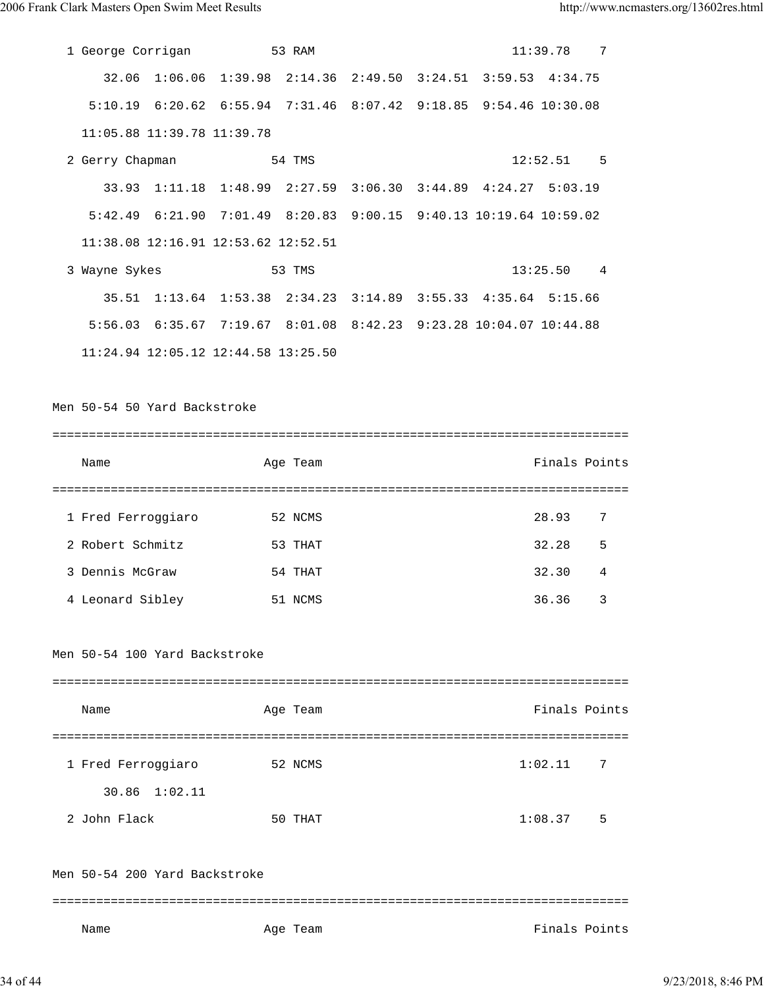| 1 George Corrigan 53 RAM      |                                                                   |  | $11:39.78$ 7  |   |
|-------------------------------|-------------------------------------------------------------------|--|---------------|---|
|                               | 32.06 1:06.06 1:39.98 2:14.36 2:49.50 3:24.51 3:59.53 4:34.75     |  |               |   |
|                               | 5:10.19 6:20.62 6:55.94 7:31.46 8:07.42 9:18.85 9:54.46 10:30.08  |  |               |   |
| 11:05.88 11:39.78 11:39.78    |                                                                   |  |               |   |
| 2 Gerry Chapman               | 54 TMS                                                            |  | $12:52.51$ 5  |   |
|                               | 33.93 1:11.18 1:48.99 2:27.59 3:06.30 3:44.89 4:24.27 5:03.19     |  |               |   |
|                               | 5:42.49 6:21.90 7:01.49 8:20.83 9:00.15 9:40.13 10:19.64 10:59.02 |  |               |   |
|                               | 11:38.08 12:16.91 12:53.62 12:52.51                               |  |               |   |
| 3 Wayne Sykes                 | 53 TMS                                                            |  | 13:25.50 4    |   |
|                               | 35.51 1:13.64 1:53.38 2:34.23 3:14.89 3:55.33 4:35.64 5:15.66     |  |               |   |
|                               | 5:56.03 6:35.67 7:19.67 8:01.08 8:42.23 9:23.28 10:04.07 10:44.88 |  |               |   |
|                               | 11:24.94 12:05.12 12:44.58 13:25.50                               |  |               |   |
|                               |                                                                   |  |               |   |
| Men 50-54 50 Yard Backstroke  |                                                                   |  |               |   |
|                               |                                                                   |  |               |   |
| Name                          | Age Team                                                          |  | Finals Points |   |
|                               |                                                                   |  |               |   |
| 1 Fred Ferroggiaro            | 52 NCMS                                                           |  | 28.93         | 7 |
| 2 Robert Schmitz              | 53 THAT                                                           |  | 32.28         | 5 |
| 3 Dennis McGraw               | 54 THAT                                                           |  | 32.30         | 4 |
| 4 Leonard Sibley              | 51 NCMS                                                           |  | 36.36         | 3 |
| Men 50-54 100 Yard Backstroke |                                                                   |  |               |   |
| Name                          | Age Team                                                          |  | Finals Points |   |
| 1 Fred Ferroggiaro            | 52 NCMS                                                           |  | 1:02.11       | 7 |
| 30.86 1:02.11                 |                                                                   |  |               |   |
| 2 John Flack                  | 50 THAT                                                           |  | 1:08.37 5     |   |
| Men 50-54 200 Yard Backstroke |                                                                   |  |               |   |
|                               |                                                                   |  |               |   |

Name Age Team Age Team Finals Points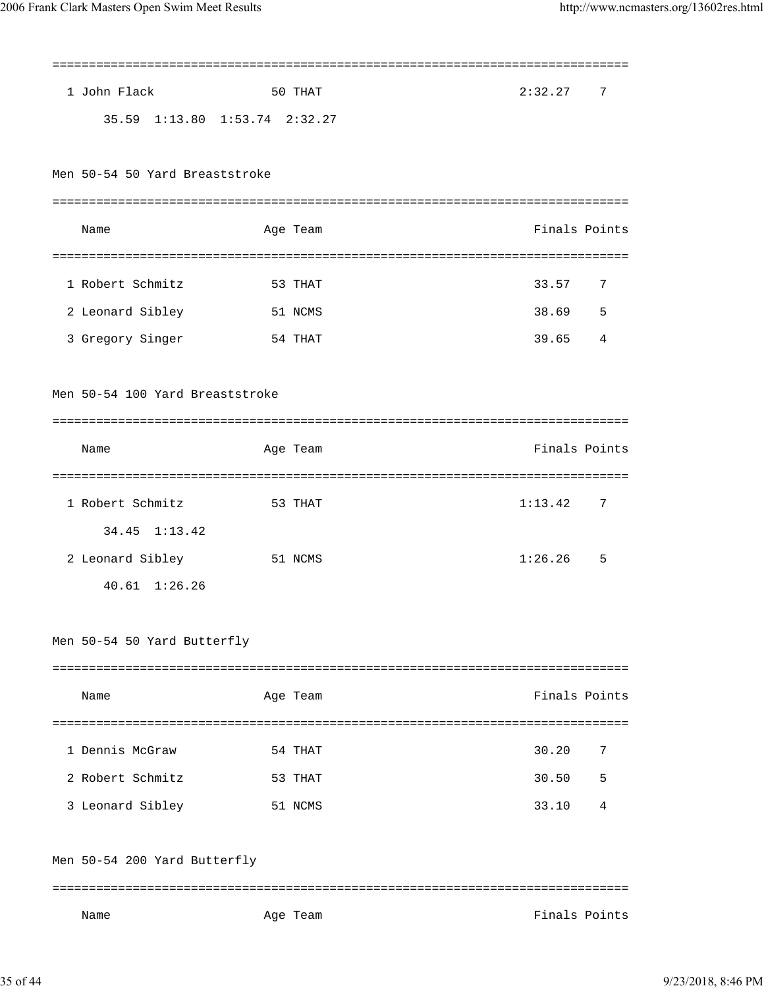|                                 |          |               | ========= |
|---------------------------------|----------|---------------|-----------|
| 1 John Flack                    | 50 THAT  | 2:32.27       | 7         |
| 35.59 1:13.80 1:53.74 2:32.27   |          |               |           |
|                                 |          |               |           |
| Men 50-54 50 Yard Breaststroke  |          |               |           |
|                                 |          |               |           |
| Name                            | Age Team | Finals Points |           |
|                                 |          |               |           |
| 1 Robert Schmitz                | 53 THAT  | 33.57         | 7         |
| 2 Leonard Sibley                | 51 NCMS  | 38.69         | 5         |
| 3 Gregory Singer                | 54 THAT  | 39.65         | 4         |
|                                 |          |               |           |
| Men 50-54 100 Yard Breaststroke |          |               |           |
|                                 |          |               |           |
| Name                            | Age Team | Finals Points |           |
|                                 |          |               |           |
| 1 Robert Schmitz<br>53 THAT     |          | 1:13.42       | 7         |
| 34.45 1:13.42                   |          |               |           |
| 2 Leonard Sibley                | 51 NCMS  | 1:26.26       | 5         |
| $40.61 \quad 1:26.26$           |          |               |           |
|                                 |          |               |           |
| Men 50-54 50 Yard Butterfly     |          |               |           |
|                                 |          |               |           |
| Name                            | Age Team | Finals Points |           |
|                                 |          |               |           |
| 1 Dennis McGraw                 | 54 THAT  | 30.20         | 7         |
| 2 Robert Schmitz                | 53 THAT  | 30.50         | 5         |
| 3 Leonard Sibley                | 51 NCMS  | 33.10         | 4         |
|                                 |          |               |           |
| Men 50-54 200 Yard Butterfly    |          |               |           |
|                                 |          |               |           |
| Name                            | Age Team | Finals Points |           |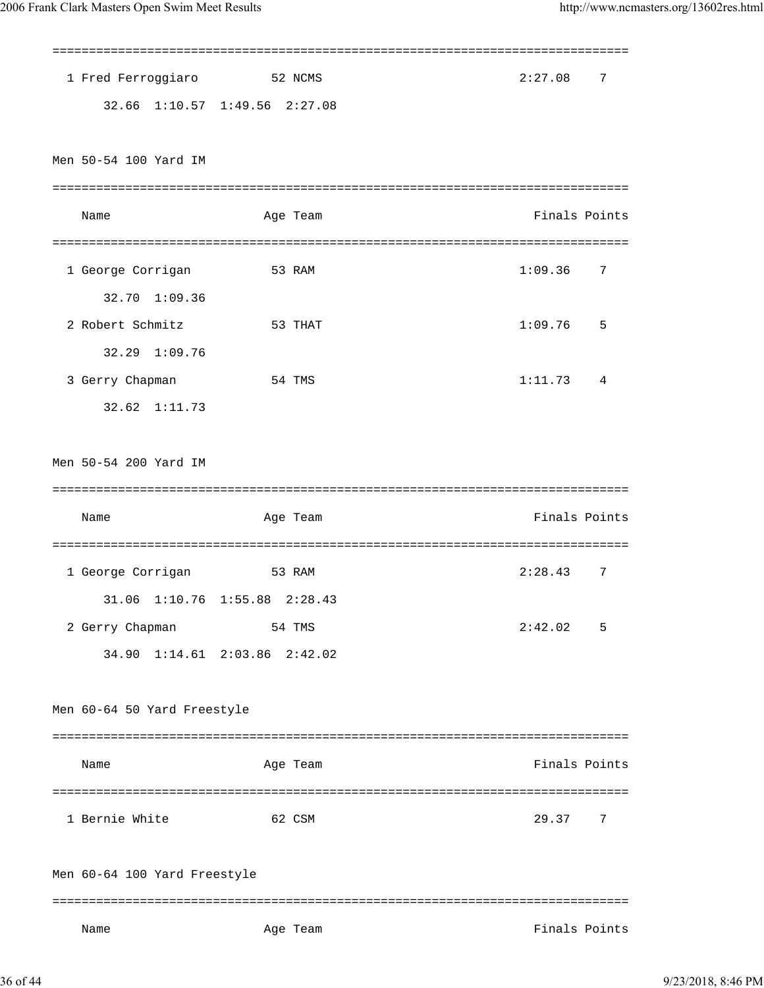| 1 Fred Ferroggiaro           | 52 NCMS                       | 2:27.08<br>7  |
|------------------------------|-------------------------------|---------------|
|                              | 32.66 1:10.57 1:49.56 2:27.08 |               |
|                              |                               |               |
| Men 50-54 100 Yard IM        |                               |               |
|                              |                               |               |
| Name                         | Age Team                      | Finals Points |
|                              |                               |               |
| 1 George Corrigan            | 53 RAM                        | 1:09.36<br>7  |
| 1:09.36<br>32.70             |                               |               |
| 2 Robert Schmitz             | 53 THAT                       | 1:09.76<br>5  |
| 32.29 1:09.76                |                               |               |
| 3 Gerry Chapman              | 54 TMS                        | 1:11.73<br>4  |
| 32.62 1:11.73                |                               |               |
| Men 50-54 200 Yard IM        |                               |               |
|                              |                               |               |
|                              |                               |               |
| Name                         | Age Team                      | Finals Points |
|                              |                               |               |
| 1 George Corrigan            | 53 RAM                        | 7<br>2:28.43  |
|                              | 31.06 1:10.76 1:55.88 2:28.43 |               |
| 2 Gerry Chapman              | 54 TMS                        | 2:42.02<br>5  |
|                              | 34.90 1:14.61 2:03.86 2:42.02 |               |
|                              |                               |               |
| Men 60-64 50 Yard Freestyle  |                               |               |
|                              |                               |               |
| Name                         | Age Team                      | Finals Points |
|                              |                               |               |
| 1 Bernie White               | 62 CSM                        | 29.37<br>7    |
|                              |                               |               |
| Men 60-64 100 Yard Freestyle |                               |               |
| Name                         | Age Team                      | Finals Points |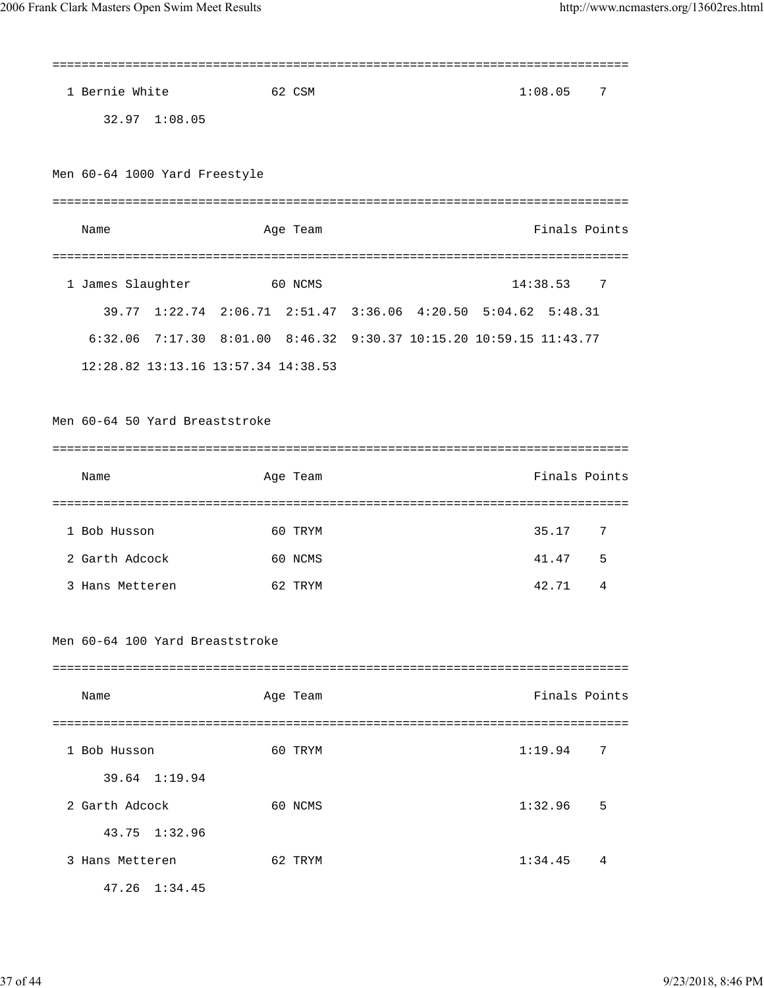| 1 Bernie White                      | 62 CSM   | 1:08.05<br>7                                                       |
|-------------------------------------|----------|--------------------------------------------------------------------|
| 32.97 1:08.05                       |          |                                                                    |
|                                     |          |                                                                    |
| Men 60-64 1000 Yard Freestyle       |          |                                                                    |
|                                     |          |                                                                    |
| Name                                | Age Team | Finals Points                                                      |
| ==============================      |          |                                                                    |
| 1 James Slaughter                   | 60 NCMS  | 14:38.53<br>7                                                      |
|                                     |          | 39.77 1:22.74 2:06.71 2:51.47 3:36.06 4:20.50 5:04.62 5:48.31      |
|                                     |          | 6:32.06 7:17.30 8:01.00 8:46.32 9:30.37 10:15.20 10:59.15 11:43.77 |
| 12:28.82 13:13.16 13:57.34 14:38.53 |          |                                                                    |
|                                     |          |                                                                    |
| Men 60-64 50 Yard Breaststroke      |          |                                                                    |
|                                     |          |                                                                    |
| Name                                | Age Team | Finals Points                                                      |
|                                     |          |                                                                    |
| 1 Bob Husson                        | 60 TRYM  | 35.17<br>7                                                         |
| 2 Garth Adcock                      | 60 NCMS  | 41.47<br>5                                                         |
| 3 Hans Metteren                     | 62 TRYM  | 42.71<br>4                                                         |
|                                     |          |                                                                    |
| Men 60-64 100 Yard Breaststroke     |          |                                                                    |
|                                     |          |                                                                    |
| Name                                | Age Team | Finals Points                                                      |
|                                     |          |                                                                    |
| 1 Bob Husson                        | 60 TRYM  | 1:19.94<br>7                                                       |
| 39.64 1:19.94                       |          |                                                                    |
| 2 Garth Adcock                      | 60 NCMS  | 1:32.96<br>5                                                       |
| 43.75<br>1:32.96                    |          |                                                                    |
| 3 Hans Metteren                     | 62 TRYM  | 1:34.45<br>4                                                       |
| 47.26 1:34.45                       |          |                                                                    |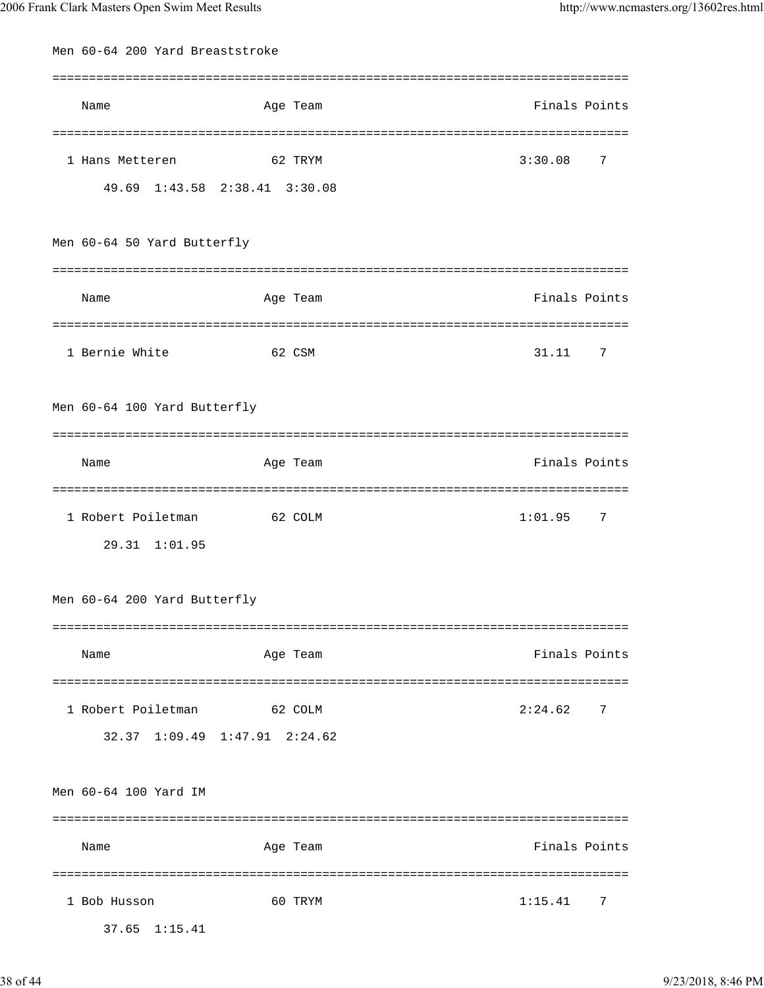| Men 60-64 200 Yard Breaststroke |                               |               |
|---------------------------------|-------------------------------|---------------|
|                                 |                               |               |
| Name                            | Age Team                      | Finals Points |
|                                 |                               |               |
| 1 Hans Metteren                 | 62 TRYM                       | 3:30.08<br>7  |
|                                 | 49.69 1:43.58 2:38.41 3:30.08 |               |
|                                 |                               |               |
| Men 60-64 50 Yard Butterfly     |                               |               |
|                                 |                               |               |
|                                 |                               |               |
| Name                            | Age Team                      | Finals Points |
|                                 |                               |               |
| 1 Bernie White                  | 62 CSM                        | 31.11<br>7    |
|                                 |                               |               |
| Men 60-64 100 Yard Butterfly    |                               |               |
|                                 |                               |               |
| Name                            | Age Team                      | Finals Points |
|                                 |                               |               |
| 1 Robert Poiletman              | 62 COLM                       | 1:01.95<br>7  |
| $29.31 \quad 1:01.95$           |                               |               |
|                                 |                               |               |
| Men 60-64 200 Yard Butterfly    |                               |               |
|                                 |                               |               |
| Name                            | Age Team                      | Finals Points |
|                                 |                               |               |
| 1 Robert Poiletman              | 62 COLM                       | 2:24.62<br>7  |
|                                 |                               |               |
|                                 | 32.37 1:09.49 1:47.91 2:24.62 |               |
|                                 |                               |               |
| Men 60-64 100 Yard IM           |                               |               |
|                                 |                               |               |
| Name                            | Age Team                      | Finals Points |
|                                 |                               |               |
| 1 Bob Husson                    | 60 TRYM                       | 1:15.41<br>7  |
| 37.65 1:15.41                   |                               |               |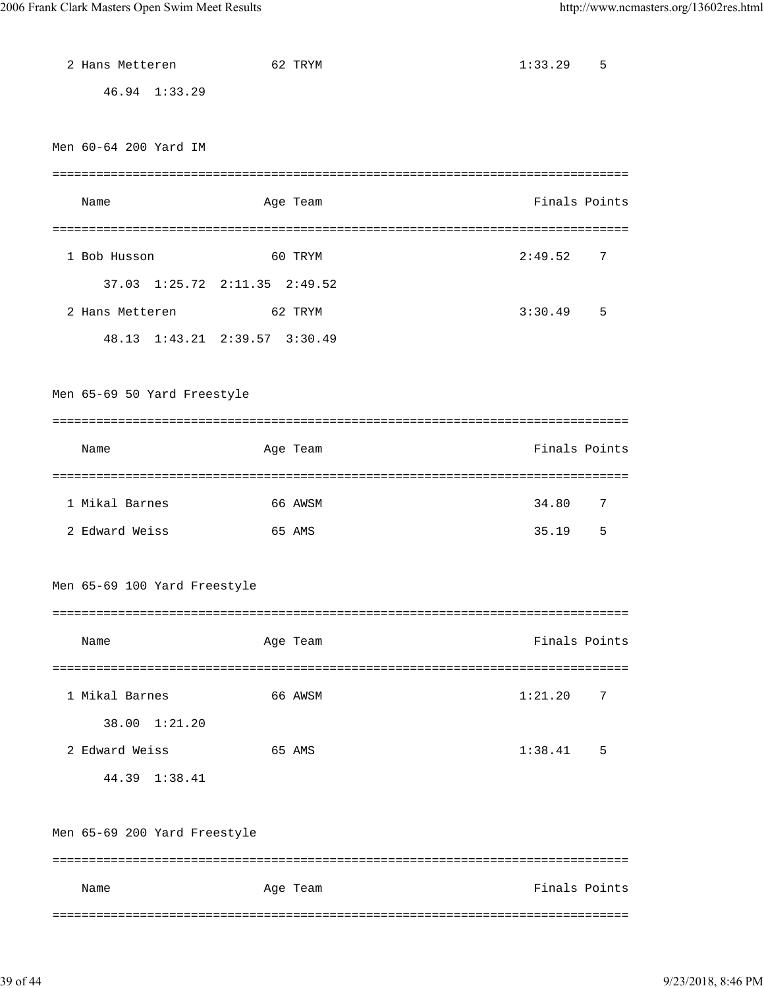| 2 Hans Metteren                   |        | 62 TRYM  | 1:33.29       | 5  |
|-----------------------------------|--------|----------|---------------|----|
| 46.94 1:33.29                     |        |          |               |    |
|                                   |        |          |               |    |
| Men 60-64 200 Yard IM             |        |          |               |    |
|                                   |        |          |               |    |
| Name                              |        | Age Team | Finals Points |    |
|                                   |        |          |               |    |
| 1 Bob Husson                      |        | 60 TRYM  | 2:49.52       | 7  |
| 37.03 1:25.72 2:11.35 2:49.52     |        |          |               |    |
| 2 Hans Metteren<br><b>62 TRYM</b> |        |          | 3:30.49       | -5 |
| 48.13 1:43.21 2:39.57 3:30.49     |        |          |               |    |
|                                   |        |          |               |    |
| Men 65-69 50 Yard Freestyle       |        |          |               |    |
|                                   |        |          |               |    |
| Name                              |        | Age Team | Finals Points |    |
|                                   |        |          |               |    |
| 1 Mikal Barnes                    |        | 66 AWSM  | 34.80         | 7  |
| 2 Edward Weiss                    | 65 AMS |          | 35.19         | 5  |
|                                   |        |          |               |    |
| Men 65-69 100 Yard Freestyle      |        |          |               |    |
|                                   |        |          |               |    |
| Name                              |        | Age Team | Finals Points |    |
|                                   |        |          |               |    |
| 1 Mikal Barnes                    |        | 66 AWSM  | 1:21.20       | 7  |
| 38.00 1:21.20                     |        |          |               |    |
| 2 Edward Weiss                    |        | 65 AMS   | 1:38.41       | 5  |
| 44.39 1:38.41                     |        |          |               |    |
|                                   |        |          |               |    |
| Men 65-69 200 Yard Freestyle      |        |          |               |    |
|                                   |        |          |               |    |
| Name                              |        | Age Team | Finals Points |    |
|                                   |        |          |               |    |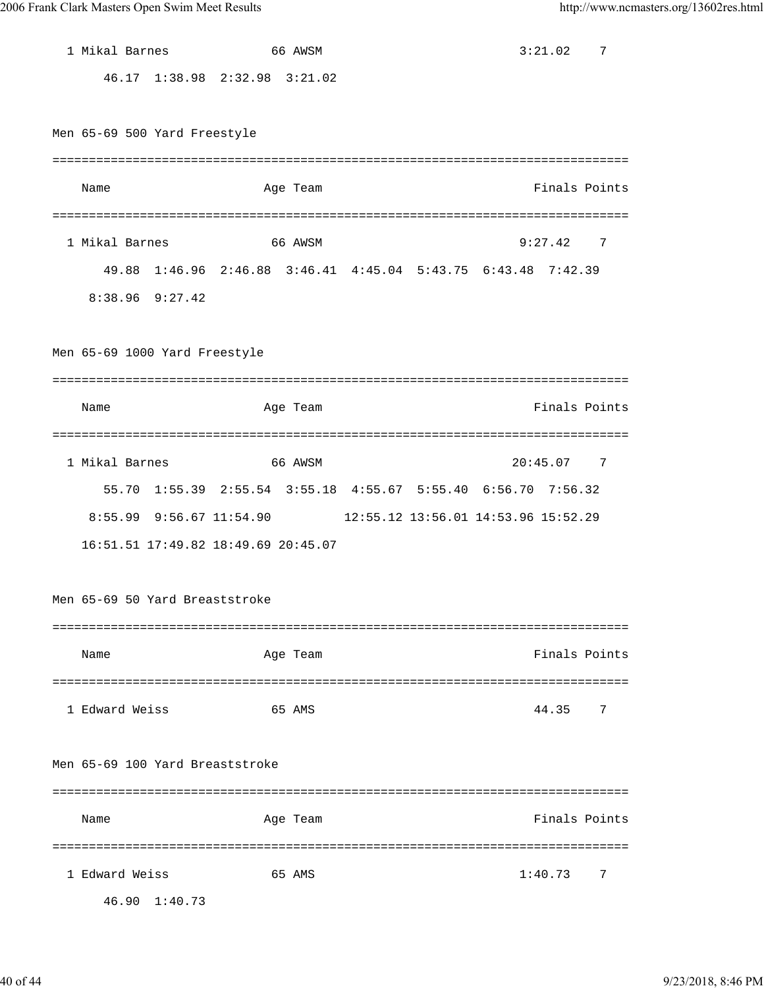| 1 Mikal Barnes                  |                                     | 66 AWSM  |  | 3:21.02                                                       |       | 7              |
|---------------------------------|-------------------------------------|----------|--|---------------------------------------------------------------|-------|----------------|
|                                 | 46.17 1:38.98 2:32.98 3:21.02       |          |  |                                                               |       |                |
|                                 |                                     |          |  |                                                               |       |                |
| Men 65-69 500 Yard Freestyle    |                                     |          |  |                                                               |       |                |
|                                 |                                     |          |  |                                                               |       |                |
| Name                            |                                     | Age Team |  |                                                               |       | Finals Points  |
|                                 |                                     |          |  |                                                               |       |                |
| 1 Mikal Barnes                  |                                     | 66 AWSM  |  | 9:27.42                                                       |       | 7              |
|                                 |                                     |          |  | 49.88 1:46.96 2:46.88 3:46.41 4:45.04 5:43.75 6:43.48 7:42.39 |       |                |
| 8:38.96 9:27.42                 |                                     |          |  |                                                               |       |                |
|                                 |                                     |          |  |                                                               |       |                |
| Men 65-69 1000 Yard Freestyle   |                                     |          |  |                                                               |       |                |
|                                 |                                     |          |  |                                                               |       |                |
| Name                            |                                     | Age Team |  |                                                               |       | Finals Points  |
|                                 |                                     |          |  |                                                               |       |                |
| 1 Mikal Barnes                  |                                     | 66 AWSM  |  | 20:45.07                                                      |       |                |
|                                 |                                     |          |  |                                                               |       | $\overline{7}$ |
|                                 |                                     |          |  | 55.70 1:55.39 2:55.54 3:55.18 4:55.67 5:55.40 6:56.70 7:56.32 |       |                |
|                                 | 8:55.99 9:56.67 11:54.90            |          |  | 12:55.12 13:56.01 14:53.96 15:52.29                           |       |                |
|                                 |                                     |          |  |                                                               |       |                |
|                                 | 16:51.51 17:49.82 18:49.69 20:45.07 |          |  |                                                               |       |                |
|                                 |                                     |          |  |                                                               |       |                |
| Men 65-69 50 Yard Breaststroke  |                                     |          |  |                                                               |       |                |
|                                 |                                     |          |  |                                                               |       |                |
| Name                            |                                     | Age Team |  |                                                               |       | Finals Points  |
|                                 |                                     |          |  |                                                               |       |                |
| 1 Edward Weiss                  |                                     | 65 AMS   |  |                                                               | 44.35 | 7              |
|                                 |                                     |          |  |                                                               |       |                |
| Men 65-69 100 Yard Breaststroke |                                     |          |  |                                                               |       |                |
|                                 |                                     |          |  |                                                               |       |                |
| Name                            |                                     | Age Team |  |                                                               |       | Finals Points  |
|                                 |                                     |          |  |                                                               |       |                |
| 1 Edward Weiss                  |                                     | 65 AMS   |  | 1:40.73                                                       |       | 7              |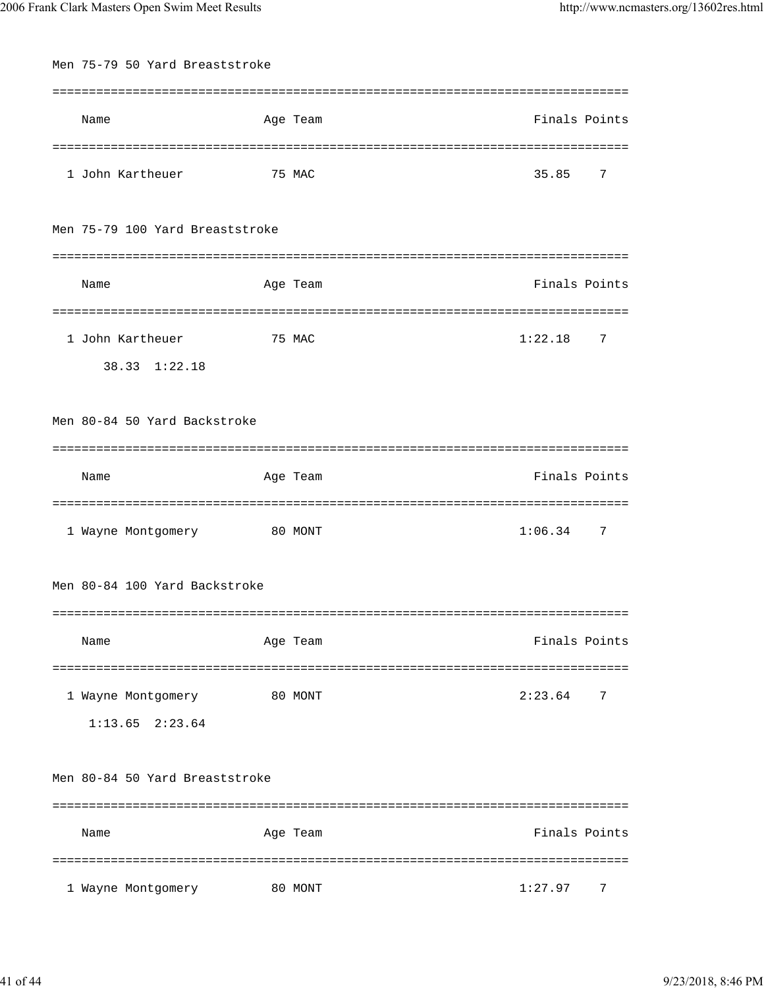| Men 75-79 50 Yard Breaststroke |                                                             |        |                               |               |   |
|--------------------------------|-------------------------------------------------------------|--------|-------------------------------|---------------|---|
|                                |                                                             |        |                               |               |   |
|                                | Name                                                        |        | Age Team                      | Finals Points |   |
|                                |                                                             |        |                               |               |   |
|                                | 1 John Kartheuer                                            | 75 MAC |                               | 35.85         | 7 |
|                                | Men 75-79 100 Yard Breaststroke                             |        |                               |               |   |
|                                |                                                             |        |                               |               |   |
|                                | Name                                                        |        | Age Team                      | Finals Points |   |
|                                | ==============                                              |        | ===========                   |               |   |
|                                | 1 John Kartheuer                                            |        | 75 MAC                        | 1:22.18       | 7 |
|                                | 38.33 1:22.18                                               |        |                               |               |   |
|                                |                                                             |        |                               |               |   |
|                                | Men 80-84 50 Yard Backstroke                                |        |                               |               |   |
|                                |                                                             |        |                               |               |   |
|                                | Name                                                        |        | Age Team                      | Finals Points |   |
|                                | =============================<br>1 Wayne Montgomery 80 MONT |        | ============================= | 1:06.34       | 7 |
|                                | Men 80-84 100 Yard Backstroke                               |        |                               |               |   |
|                                |                                                             |        |                               |               |   |
|                                | Name                                                        |        | Age Team                      | Finals Points |   |
|                                |                                                             |        |                               |               |   |
|                                | 80 MONT<br>1 Wayne Montgomery                               |        |                               | 2:23.64       | 7 |
|                                | $1:13.65$ $2:23.64$                                         |        |                               |               |   |
|                                | Men 80-84 50 Yard Breaststroke                              |        |                               |               |   |
|                                | Name                                                        |        | Age Team                      | Finals Points |   |
|                                |                                                             |        |                               |               |   |
|                                | 1 Wayne Montgomery                                          |        | 80 MONT                       | 1:27.97       | 7 |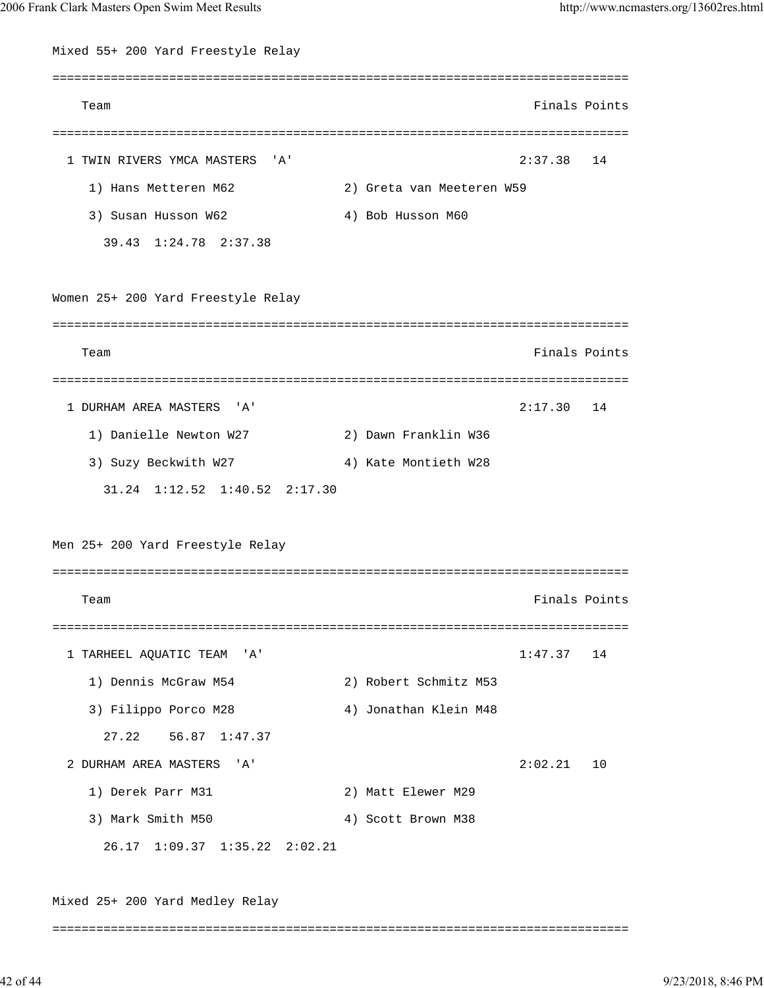Mixed 55+ 200 Yard Freestyle Relay =============================================================================== Team Finals Points =============================================================================== 1 TWIN RIVERS YMCA MASTERS 'A' 2:37.38 14 1) Hans Metteren M62 2) Greta van Meeteren W59 3) Susan Husson W62 4) Bob Husson M60 39.43 1:24.78 2:37.38 Women 25+ 200 Yard Freestyle Relay =============================================================================== Team Finals Points =============================================================================== 1 DURHAM AREA MASTERS 'A' 2:17.30 14 1) Danielle Newton W27 2) Dawn Franklin W36 3) Suzy Beckwith W27 4) Kate Montieth W28 31.24 1:12.52 1:40.52 2:17.30 Men 25+ 200 Yard Freestyle Relay =============================================================================== Team Finals Points =============================================================================== 1 TARHEEL AQUATIC TEAM 'A' 17.37 14 1) Dennis McGraw M54 2) Robert Schmitz M53 3) Filippo Porco M28 4) Jonathan Klein M48 27.22 56.87 1:47.37 2 DURHAM AREA MASTERS 'A' 2:02.21 10 1) Derek Parr M31 2) Matt Elewer M29 3) Mark Smith M50 4) Scott Brown M38 26.17 1:09.37 1:35.22 2:02.21 Mixed 25+ 200 Yard Medley Relay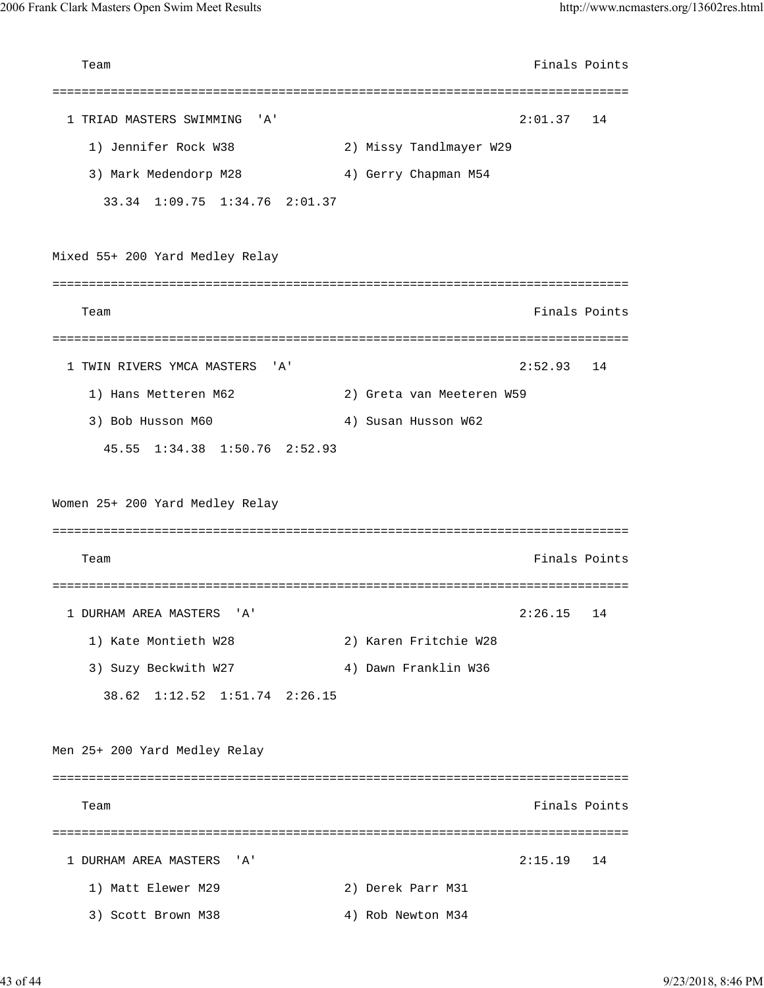| Team                                    |                           | Finals Points |    |
|-----------------------------------------|---------------------------|---------------|----|
|                                         |                           |               |    |
| 1 TRIAD MASTERS SWIMMING<br>'A'         |                           | 2:01.37       | 14 |
| 1) Jennifer Rock W38                    | 2) Missy Tandlmayer W29   |               |    |
| 3) Mark Medendorp M28                   | 4) Gerry Chapman M54      |               |    |
| 33.34 1:09.75 1:34.76 2:01.37           |                           |               |    |
| Mixed 55+ 200 Yard Medley Relay         |                           |               |    |
|                                         |                           |               |    |
| Team                                    |                           | Finals Points |    |
|                                         |                           |               |    |
| 1 TWIN RIVERS YMCA MASTERS<br>'A'       |                           | 2:52.93       | 14 |
| 1) Hans Metteren M62                    | 2) Greta van Meeteren W59 |               |    |
| 3) Bob Husson M60                       | 4) Susan Husson W62       |               |    |
| $1:34.38$ $1:50.76$ $2:52.93$<br>45.55  |                           |               |    |
| Women 25+ 200 Yard Medley Relay<br>Team |                           | Finals Points |    |
|                                         |                           |               |    |
| 1 DURHAM AREA MASTERS<br>' A '          |                           | 2:26.15       | 14 |
| 1) Kate Montieth W28                    | 2) Karen Fritchie W28     |               |    |
| 3) Suzy Beckwith W27                    | 4) Dawn Franklin W36      |               |    |
| 38.62<br>$1:12.52$ $1:51.74$ $2:26.15$  |                           |               |    |
| Men 25+ 200 Yard Medley Relay           |                           |               |    |
|                                         |                           |               |    |
| Team                                    |                           | Finals Points |    |
|                                         |                           |               |    |
| 1 DURHAM AREA MASTERS<br>'A'            |                           | 2:15.19       | 14 |
| 1) Matt Elewer M29                      | 2) Derek Parr M31         |               |    |
| 3) Scott Brown M38                      | 4) Rob Newton M34         |               |    |